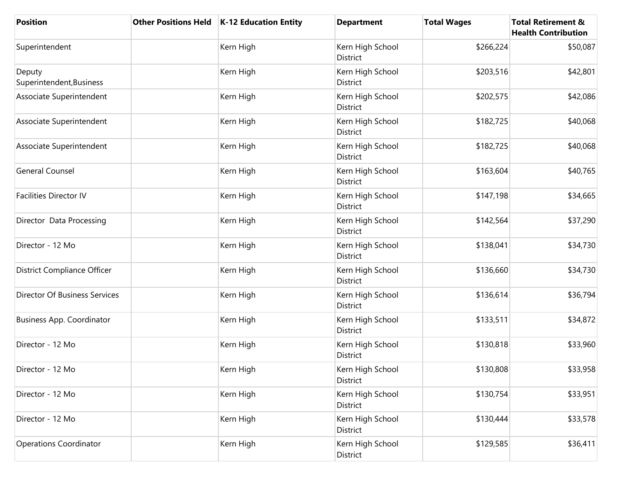| <b>Position</b>                      | Other Positions Held   K-12 Education Entity | <b>Department</b>            | <b>Total Wages</b> | <b>Total Retirement &amp;</b><br><b>Health Contribution</b> |
|--------------------------------------|----------------------------------------------|------------------------------|--------------------|-------------------------------------------------------------|
| Superintendent                       | Kern High                                    | Kern High School<br>District | \$266,224          | \$50,087                                                    |
| Deputy<br>Superintendent, Business   | Kern High                                    | Kern High School<br>District | \$203,516          | \$42,801                                                    |
| Associate Superintendent             | Kern High                                    | Kern High School<br>District | \$202,575          | \$42,086                                                    |
| Associate Superintendent             | Kern High                                    | Kern High School<br>District | \$182,725          | \$40,068                                                    |
| Associate Superintendent             | Kern High                                    | Kern High School<br>District | \$182,725          | \$40,068                                                    |
| <b>General Counsel</b>               | Kern High                                    | Kern High School<br>District | \$163,604          | \$40,765                                                    |
| <b>Facilities Director IV</b>        | Kern High                                    | Kern High School<br>District | \$147,198          | \$34,665                                                    |
| Director Data Processing             | Kern High                                    | Kern High School<br>District | \$142,564          | \$37,290                                                    |
| Director - 12 Mo                     | Kern High                                    | Kern High School<br>District | \$138,041          | \$34,730                                                    |
| District Compliance Officer          | Kern High                                    | Kern High School<br>District | \$136,660          | \$34,730                                                    |
| <b>Director Of Business Services</b> | Kern High                                    | Kern High School<br>District | \$136,614          | \$36,794                                                    |
| <b>Business App. Coordinator</b>     | Kern High                                    | Kern High School<br>District | \$133,511          | \$34,872                                                    |
| Director - 12 Mo                     | Kern High                                    | Kern High School<br>District | \$130,818          | \$33,960                                                    |
| Director - 12 Mo                     | Kern High                                    | Kern High School<br>District | \$130,808          | \$33,958                                                    |
| Director - 12 Mo                     | Kern High                                    | Kern High School<br>District | \$130,754          | \$33,951                                                    |
| Director - 12 Mo                     | Kern High                                    | Kern High School<br>District | \$130,444          | \$33,578                                                    |
| Operations Coordinator               | Kern High                                    | Kern High School<br>District | \$129,585          | \$36,411                                                    |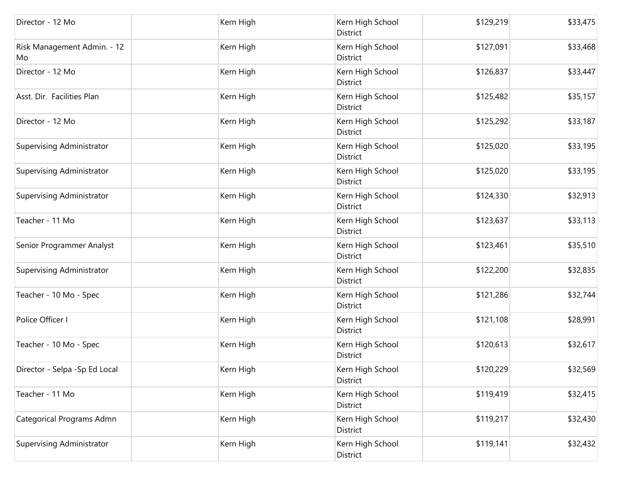| Director - 12 Mo                  | Kern High | Kern High School<br>District        | \$129,219 | \$33,475 |
|-----------------------------------|-----------|-------------------------------------|-----------|----------|
| Risk Management Admin. - 12<br>Mo | Kern High | Kern High School<br>District        | \$127,091 | \$33,468 |
| Director - 12 Mo                  | Kern High | Kern High School<br>District        | \$126,837 | \$33,447 |
| Asst. Dir. Facilities Plan        | Kern High | Kern High School<br>District        | \$125,482 | \$35,157 |
| Director - 12 Mo                  | Kern High | Kern High School<br><b>District</b> | \$125,292 | \$33,187 |
| Supervising Administrator         | Kern High | Kern High School<br>District        | \$125,020 | \$33,195 |
| Supervising Administrator         | Kern High | Kern High School<br>District        | \$125,020 | \$33,195 |
| Supervising Administrator         | Kern High | Kern High School<br>District        | \$124,330 | \$32,913 |
| Teacher - 11 Mo                   | Kern High | Kern High School<br>District        | \$123,637 | \$33,113 |
| Senior Programmer Analyst         | Kern High | Kern High School<br>District        | \$123,461 | \$35,510 |
| Supervising Administrator         | Kern High | Kern High School<br>District        | \$122,200 | \$32,835 |
| Teacher - 10 Mo - Spec            | Kern High | Kern High School<br>District        | \$121,286 | \$32,744 |
| Police Officer I                  | Kern High | Kern High School<br>District        | \$121,108 | \$28,991 |
| Teacher - 10 Mo - Spec            | Kern High | Kern High School<br>District        | \$120,613 | \$32,617 |
| Director - Selpa - Sp Ed Local    | Kern High | Kern High School<br>District        | \$120,229 | \$32,569 |
| Teacher - 11 Mo                   | Kern High | Kern High School<br>District        | \$119,419 | \$32,415 |
| Categorical Programs Admn         | Kern High | Kern High School<br>District        | \$119,217 | \$32,430 |
| Supervising Administrator         | Kern High | Kern High School<br>District        | \$119,141 | \$32,432 |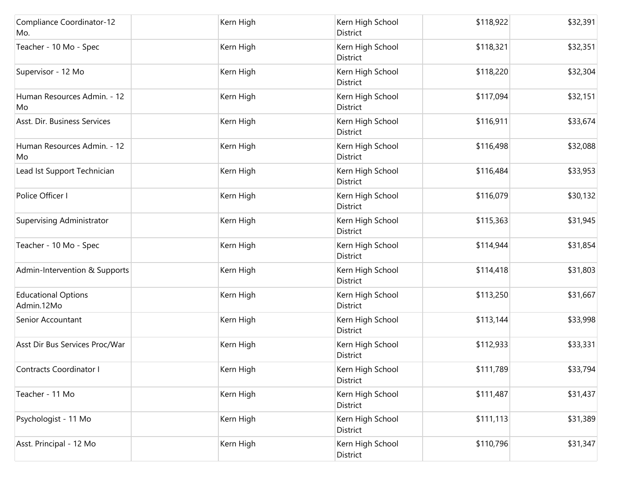| Compliance Coordinator-12<br>Mo.         | Kern High | Kern High School<br>District        | \$118,922 | \$32,391 |
|------------------------------------------|-----------|-------------------------------------|-----------|----------|
| Teacher - 10 Mo - Spec                   | Kern High | Kern High School<br>District        | \$118,321 | \$32,351 |
| Supervisor - 12 Mo                       | Kern High | Kern High School<br>District        | \$118,220 | \$32,304 |
| Human Resources Admin. - 12<br>Mo        | Kern High | Kern High School<br>District        | \$117,094 | \$32,151 |
| Asst. Dir. Business Services             | Kern High | Kern High School<br>District        | \$116,911 | \$33,674 |
| Human Resources Admin. - 12<br>Mo        | Kern High | Kern High School<br>District        | \$116,498 | \$32,088 |
| Lead Ist Support Technician              | Kern High | Kern High School<br>District        | \$116,484 | \$33,953 |
| Police Officer I                         | Kern High | Kern High School<br>District        | \$116,079 | \$30,132 |
| <b>Supervising Administrator</b>         | Kern High | Kern High School<br>District        | \$115,363 | \$31,945 |
| Teacher - 10 Mo - Spec                   | Kern High | Kern High School<br>District        | \$114,944 | \$31,854 |
| Admin-Intervention & Supports            | Kern High | Kern High School<br>District        | \$114,418 | \$31,803 |
| <b>Educational Options</b><br>Admin.12Mo | Kern High | Kern High School<br>District        | \$113,250 | \$31,667 |
| Senior Accountant                        | Kern High | Kern High School<br>District        | \$113,144 | \$33,998 |
| Asst Dir Bus Services Proc/War           | Kern High | Kern High School<br><b>District</b> | \$112,933 | \$33,331 |
| Contracts Coordinator I                  | Kern High | Kern High School<br>District        | \$111,789 | \$33,794 |
| Teacher - 11 Mo                          | Kern High | Kern High School<br>District        | \$111,487 | \$31,437 |
| Psychologist - 11 Mo                     | Kern High | Kern High School<br>District        | \$111,113 | \$31,389 |
| Asst. Principal - 12 Mo                  | Kern High | Kern High School<br>District        | \$110,796 | \$31,347 |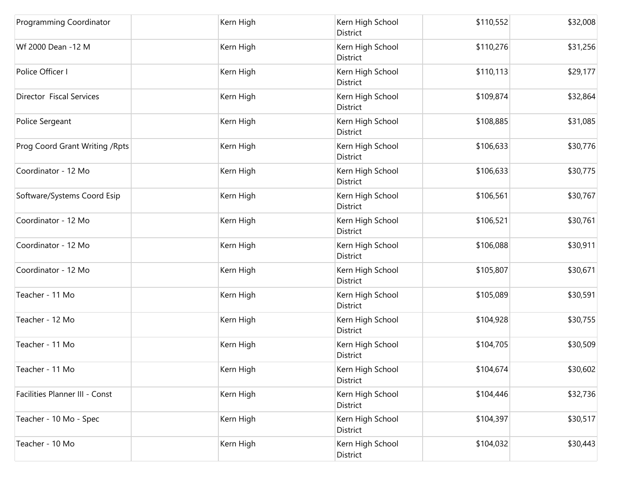| Programming Coordinator         | Kern High | Kern High School<br>District | \$110,552 | \$32,008 |
|---------------------------------|-----------|------------------------------|-----------|----------|
| Wf 2000 Dean -12 M              | Kern High | Kern High School<br>District | \$110,276 | \$31,256 |
| Police Officer I                | Kern High | Kern High School<br>District | \$110,113 | \$29,177 |
| Director Fiscal Services        | Kern High | Kern High School<br>District | \$109,874 | \$32,864 |
| Police Sergeant                 | Kern High | Kern High School<br>District | \$108,885 | \$31,085 |
| Prog Coord Grant Writing / Rpts | Kern High | Kern High School<br>District | \$106,633 | \$30,776 |
| Coordinator - 12 Mo             | Kern High | Kern High School<br>District | \$106,633 | \$30,775 |
| Software/Systems Coord Esip     | Kern High | Kern High School<br>District | \$106,561 | \$30,767 |
| Coordinator - 12 Mo             | Kern High | Kern High School<br>District | \$106,521 | \$30,761 |
| Coordinator - 12 Mo             | Kern High | Kern High School<br>District | \$106,088 | \$30,911 |
| Coordinator - 12 Mo             | Kern High | Kern High School<br>District | \$105,807 | \$30,671 |
| Teacher - 11 Mo                 | Kern High | Kern High School<br>District | \$105,089 | \$30,591 |
| Teacher - 12 Mo                 | Kern High | Kern High School<br>District | \$104,928 | \$30,755 |
| Teacher - 11 Mo                 | Kern High | Kern High School<br>District | \$104,705 | \$30,509 |
| Teacher - 11 Mo                 | Kern High | Kern High School<br>District | \$104,674 | \$30,602 |
| Facilities Planner III - Const  | Kern High | Kern High School<br>District | \$104,446 | \$32,736 |
| Teacher - 10 Mo - Spec          | Kern High | Kern High School<br>District | \$104,397 | \$30,517 |
| Teacher - 10 Mo                 | Kern High | Kern High School<br>District | \$104,032 | \$30,443 |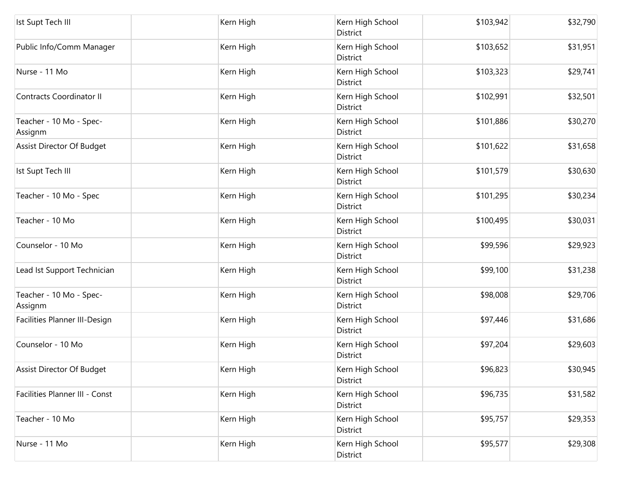| Ist Supt Tech III                  | Kern High | Kern High School<br>District | \$103,942 | \$32,790 |
|------------------------------------|-----------|------------------------------|-----------|----------|
| Public Info/Comm Manager           | Kern High | Kern High School<br>District | \$103,652 | \$31,951 |
| Nurse - 11 Mo                      | Kern High | Kern High School<br>District | \$103,323 | \$29,741 |
| <b>Contracts Coordinator II</b>    | Kern High | Kern High School<br>District | \$102,991 | \$32,501 |
| Teacher - 10 Mo - Spec-<br>Assignm | Kern High | Kern High School<br>District | \$101,886 | \$30,270 |
| Assist Director Of Budget          | Kern High | Kern High School<br>District | \$101,622 | \$31,658 |
| Ist Supt Tech III                  | Kern High | Kern High School<br>District | \$101,579 | \$30,630 |
| Teacher - 10 Mo - Spec             | Kern High | Kern High School<br>District | \$101,295 | \$30,234 |
| Teacher - 10 Mo                    | Kern High | Kern High School<br>District | \$100,495 | \$30,031 |
| Counselor - 10 Mo                  | Kern High | Kern High School<br>District | \$99,596  | \$29,923 |
| Lead Ist Support Technician        | Kern High | Kern High School<br>District | \$99,100  | \$31,238 |
| Teacher - 10 Mo - Spec-<br>Assignm | Kern High | Kern High School<br>District | \$98,008  | \$29,706 |
| Facilities Planner III-Design      | Kern High | Kern High School<br>District | \$97,446  | \$31,686 |
| Counselor - 10 Mo                  | Kern High | Kern High School<br>District | \$97,204  | \$29,603 |
| Assist Director Of Budget          | Kern High | Kern High School<br>District | \$96,823  | \$30,945 |
| Facilities Planner III - Const     | Kern High | Kern High School<br>District | \$96,735  | \$31,582 |
| Teacher - 10 Mo                    | Kern High | Kern High School<br>District | \$95,757  | \$29,353 |
| Nurse - 11 Mo                      | Kern High | Kern High School<br>District | \$95,577  | \$29,308 |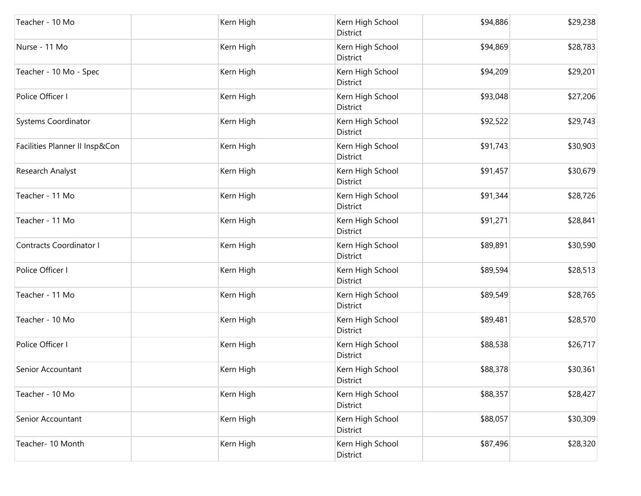| Teacher - 10 Mo                | Kern High | Kern High School<br>District | \$94,886 | \$29,238 |
|--------------------------------|-----------|------------------------------|----------|----------|
| Nurse - 11 Mo                  | Kern High | Kern High School<br>District | \$94,869 | \$28,783 |
| Teacher - 10 Mo - Spec         | Kern High | Kern High School<br>District | \$94,209 | \$29,201 |
| Police Officer I               | Kern High | Kern High School<br>District | \$93,048 | \$27,206 |
| Systems Coordinator            | Kern High | Kern High School<br>District | \$92,522 | \$29,743 |
| Facilities Planner II Insp&Con | Kern High | Kern High School<br>District | \$91,743 | \$30,903 |
| Research Analyst               | Kern High | Kern High School<br>District | \$91,457 | \$30,679 |
| Teacher - 11 Mo                | Kern High | Kern High School<br>District | \$91,344 | \$28,726 |
| Teacher - 11 Mo                | Kern High | Kern High School<br>District | \$91,271 | \$28,841 |
| <b>Contracts Coordinator I</b> | Kern High | Kern High School<br>District | \$89,891 | \$30,590 |
| Police Officer I               | Kern High | Kern High School<br>District | \$89,594 | \$28,513 |
| Teacher - 11 Mo                | Kern High | Kern High School<br>District | \$89,549 | \$28,765 |
| Teacher - 10 Mo                | Kern High | Kern High School<br>District | \$89,481 | \$28,570 |
| Police Officer I               | Kern High | Kern High School<br>District | \$88,538 | \$26,717 |
| Senior Accountant              | Kern High | Kern High School<br>District | \$88,378 | \$30,361 |
| Teacher - 10 Mo                | Kern High | Kern High School<br>District | \$88,357 | \$28,427 |
| Senior Accountant              | Kern High | Kern High School<br>District | \$88,057 | \$30,309 |
| Teacher- 10 Month              | Kern High | Kern High School<br>District | \$87,496 | \$28,320 |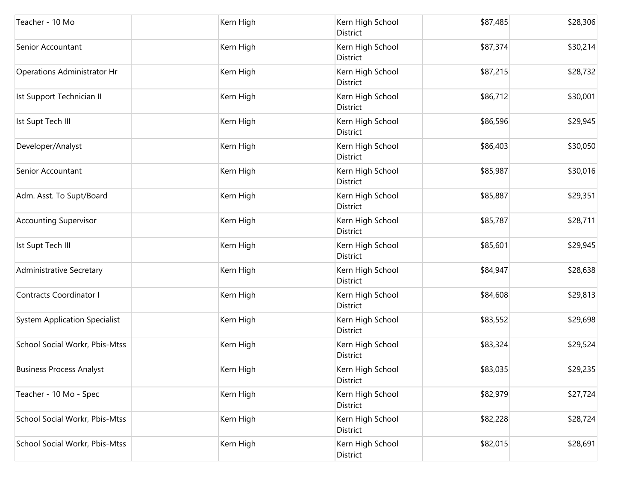| Teacher - 10 Mo                      | Kern High | Kern High School<br>District | \$87,485 | \$28,306 |
|--------------------------------------|-----------|------------------------------|----------|----------|
| Senior Accountant                    | Kern High | Kern High School<br>District | \$87,374 | \$30,214 |
| Operations Administrator Hr          | Kern High | Kern High School<br>District | \$87,215 | \$28,732 |
| Ist Support Technician II            | Kern High | Kern High School<br>District | \$86,712 | \$30,001 |
| Ist Supt Tech III                    | Kern High | Kern High School<br>District | \$86,596 | \$29,945 |
| Developer/Analyst                    | Kern High | Kern High School<br>District | \$86,403 | \$30,050 |
| Senior Accountant                    | Kern High | Kern High School<br>District | \$85,987 | \$30,016 |
| Adm. Asst. To Supt/Board             | Kern High | Kern High School<br>District | \$85,887 | \$29,351 |
| <b>Accounting Supervisor</b>         | Kern High | Kern High School<br>District | \$85,787 | \$28,711 |
| Ist Supt Tech III                    | Kern High | Kern High School<br>District | \$85,601 | \$29,945 |
| <b>Administrative Secretary</b>      | Kern High | Kern High School<br>District | \$84,947 | \$28,638 |
| Contracts Coordinator I              | Kern High | Kern High School<br>District | \$84,608 | \$29,813 |
| <b>System Application Specialist</b> | Kern High | Kern High School<br>District | \$83,552 | \$29,698 |
| School Social Workr, Pbis-Mtss       | Kern High | Kern High School<br>District | \$83,324 | \$29,524 |
| <b>Business Process Analyst</b>      | Kern High | Kern High School<br>District | \$83,035 | \$29,235 |
| Teacher - 10 Mo - Spec               | Kern High | Kern High School<br>District | \$82,979 | \$27,724 |
| School Social Workr, Pbis-Mtss       | Kern High | Kern High School<br>District | \$82,228 | \$28,724 |
| School Social Workr, Pbis-Mtss       | Kern High | Kern High School<br>District | \$82,015 | \$28,691 |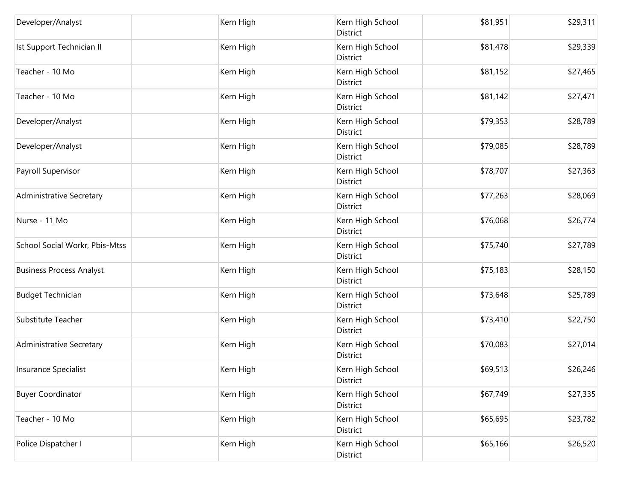| Developer/Analyst               | Kern High | Kern High School<br>District        | \$81,951 | \$29,311 |
|---------------------------------|-----------|-------------------------------------|----------|----------|
| Ist Support Technician II       | Kern High | Kern High School<br>District        | \$81,478 | \$29,339 |
| Teacher - 10 Mo                 | Kern High | Kern High School<br>District        | \$81,152 | \$27,465 |
| Teacher - 10 Mo                 | Kern High | Kern High School<br>District        | \$81,142 | \$27,471 |
| Developer/Analyst               | Kern High | Kern High School<br>District        | \$79,353 | \$28,789 |
| Developer/Analyst               | Kern High | Kern High School<br>District        | \$79,085 | \$28,789 |
| Payroll Supervisor              | Kern High | Kern High School<br><b>District</b> | \$78,707 | \$27,363 |
| <b>Administrative Secretary</b> | Kern High | Kern High School<br>District        | \$77,263 | \$28,069 |
| Nurse - 11 Mo                   | Kern High | Kern High School<br>District        | \$76,068 | \$26,774 |
| School Social Workr, Pbis-Mtss  | Kern High | Kern High School<br>District        | \$75,740 | \$27,789 |
| <b>Business Process Analyst</b> | Kern High | Kern High School<br>District        | \$75,183 | \$28,150 |
| <b>Budget Technician</b>        | Kern High | Kern High School<br>District        | \$73,648 | \$25,789 |
| Substitute Teacher              | Kern High | Kern High School<br>District        | \$73,410 | \$22,750 |
| <b>Administrative Secretary</b> | Kern High | Kern High School<br>District        | \$70,083 | \$27,014 |
| Insurance Specialist            | Kern High | Kern High School<br>District        | \$69,513 | \$26,246 |
| <b>Buyer Coordinator</b>        | Kern High | Kern High School<br>District        | \$67,749 | \$27,335 |
| Teacher - 10 Mo                 | Kern High | Kern High School<br>District        | \$65,695 | \$23,782 |
| Police Dispatcher I             | Kern High | Kern High School<br>District        | \$65,166 | \$26,520 |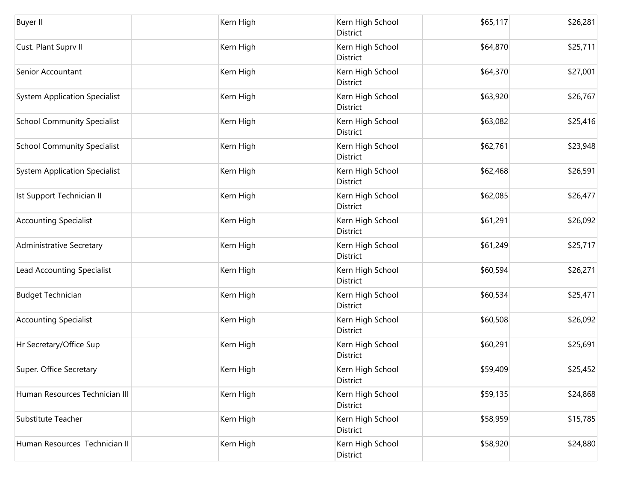| <b>Buyer II</b>                      | Kern High | Kern High School<br>District        | \$65,117 | \$26,281 |
|--------------------------------------|-----------|-------------------------------------|----------|----------|
| Cust. Plant Suprv II                 | Kern High | Kern High School<br><b>District</b> | \$64,870 | \$25,711 |
| Senior Accountant                    | Kern High | Kern High School<br>District        | \$64,370 | \$27,001 |
| <b>System Application Specialist</b> | Kern High | Kern High School<br>District        | \$63,920 | \$26,767 |
| <b>School Community Specialist</b>   | Kern High | Kern High School<br>District        | \$63,082 | \$25,416 |
| <b>School Community Specialist</b>   | Kern High | Kern High School<br>District        | \$62,761 | \$23,948 |
| <b>System Application Specialist</b> | Kern High | Kern High School<br>District        | \$62,468 | \$26,591 |
| Ist Support Technician II            | Kern High | Kern High School<br><b>District</b> | \$62,085 | \$26,477 |
| <b>Accounting Specialist</b>         | Kern High | Kern High School<br>District        | \$61,291 | \$26,092 |
| <b>Administrative Secretary</b>      | Kern High | Kern High School<br>District        | \$61,249 | \$25,717 |
| Lead Accounting Specialist           | Kern High | Kern High School<br>District        | \$60,594 | \$26,271 |
| <b>Budget Technician</b>             | Kern High | Kern High School<br>District        | \$60,534 | \$25,471 |
| <b>Accounting Specialist</b>         | Kern High | Kern High School<br>District        | \$60,508 | \$26,092 |
| Hr Secretary/Office Sup              | Kern High | Kern High School<br>District        | \$60,291 | \$25,691 |
| Super. Office Secretary              | Kern High | Kern High School<br>District        | \$59,409 | \$25,452 |
| Human Resources Technician III       | Kern High | Kern High School<br><b>District</b> | \$59,135 | \$24,868 |
| Substitute Teacher                   | Kern High | Kern High School<br>District        | \$58,959 | \$15,785 |
| Human Resources Technician II        | Kern High | Kern High School<br>District        | \$58,920 | \$24,880 |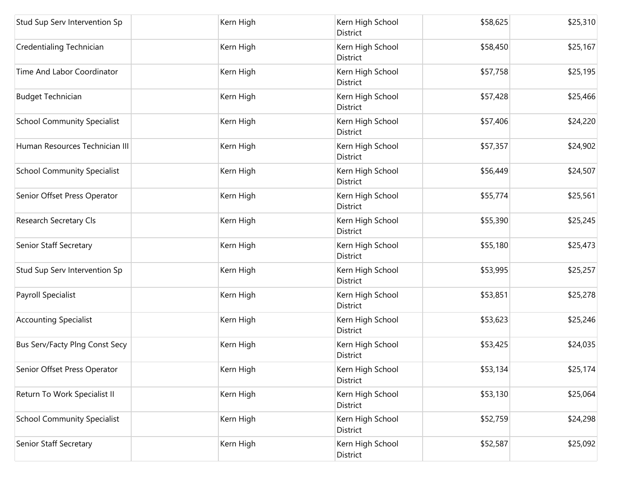| Stud Sup Serv Intervention Sp      | Kern High | Kern High School<br>District        | \$58,625 | \$25,310 |
|------------------------------------|-----------|-------------------------------------|----------|----------|
| Credentialing Technician           | Kern High | Kern High School<br>District        | \$58,450 | \$25,167 |
| Time And Labor Coordinator         | Kern High | Kern High School<br>District        | \$57,758 | \$25,195 |
| <b>Budget Technician</b>           | Kern High | Kern High School<br>District        | \$57,428 | \$25,466 |
| <b>School Community Specialist</b> | Kern High | Kern High School<br>District        | \$57,406 | \$24,220 |
| Human Resources Technician III     | Kern High | Kern High School<br>District        | \$57,357 | \$24,902 |
| <b>School Community Specialist</b> | Kern High | Kern High School<br>District        | \$56,449 | \$24,507 |
| Senior Offset Press Operator       | Kern High | Kern High School<br>District        | \$55,774 | \$25,561 |
| Research Secretary Cls             | Kern High | Kern High School<br>District        | \$55,390 | \$25,245 |
| Senior Staff Secretary             | Kern High | Kern High School<br>District        | \$55,180 | \$25,473 |
| Stud Sup Serv Intervention Sp      | Kern High | Kern High School<br>District        | \$53,995 | \$25,257 |
| Payroll Specialist                 | Kern High | Kern High School<br>District        | \$53,851 | \$25,278 |
| <b>Accounting Specialist</b>       | Kern High | Kern High School<br>District        | \$53,623 | \$25,246 |
| Bus Serv/Facty Plng Const Secy     | Kern High | Kern High School<br><b>District</b> | \$53,425 | \$24,035 |
| Senior Offset Press Operator       | Kern High | Kern High School<br>District        | \$53,134 | \$25,174 |
| Return To Work Specialist II       | Kern High | Kern High School<br>District        | \$53,130 | \$25,064 |
| <b>School Community Specialist</b> | Kern High | Kern High School<br>District        | \$52,759 | \$24,298 |
| Senior Staff Secretary             | Kern High | Kern High School<br>District        | \$52,587 | \$25,092 |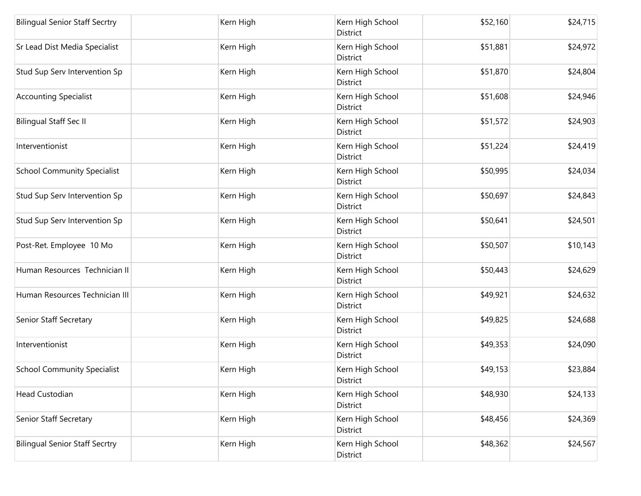| <b>Bilingual Senior Staff Secrtry</b> | Kern High | Kern High School<br>District        | \$52,160 | \$24,715 |
|---------------------------------------|-----------|-------------------------------------|----------|----------|
| Sr Lead Dist Media Specialist         | Kern High | Kern High School<br>District        | \$51,881 | \$24,972 |
| Stud Sup Serv Intervention Sp         | Kern High | Kern High School<br>District        | \$51,870 | \$24,804 |
| <b>Accounting Specialist</b>          | Kern High | Kern High School<br>District        | \$51,608 | \$24,946 |
| <b>Bilingual Staff Sec II</b>         | Kern High | Kern High School<br>District        | \$51,572 | \$24,903 |
| Interventionist                       | Kern High | Kern High School<br>District        | \$51,224 | \$24,419 |
| <b>School Community Specialist</b>    | Kern High | Kern High School<br>District        | \$50,995 | \$24,034 |
| Stud Sup Serv Intervention Sp         | Kern High | Kern High School<br>District        | \$50,697 | \$24,843 |
| Stud Sup Serv Intervention Sp         | Kern High | Kern High School<br><b>District</b> | \$50,641 | \$24,501 |
| Post-Ret. Employee 10 Mo              | Kern High | Kern High School<br>District        | \$50,507 | \$10,143 |
| Human Resources Technician II         | Kern High | Kern High School<br>District        | \$50,443 | \$24,629 |
| Human Resources Technician III        | Kern High | Kern High School<br>District        | \$49,921 | \$24,632 |
| Senior Staff Secretary                | Kern High | Kern High School<br>District        | \$49,825 | \$24,688 |
| Interventionist                       | Kern High | Kern High School<br>District        | \$49,353 | \$24,090 |
| <b>School Community Specialist</b>    | Kern High | Kern High School<br>District        | \$49,153 | \$23,884 |
| <b>Head Custodian</b>                 | Kern High | Kern High School<br>District        | \$48,930 | \$24,133 |
| Senior Staff Secretary                | Kern High | Kern High School<br>District        | \$48,456 | \$24,369 |
| <b>Bilingual Senior Staff Secrtry</b> | Kern High | Kern High School<br>District        | \$48,362 | \$24,567 |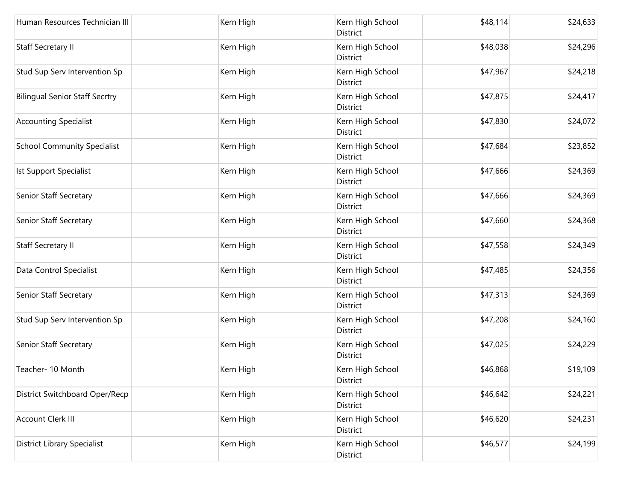| Human Resources Technician III        | Kern High | Kern High School<br>District        | \$48,114 | \$24,633 |
|---------------------------------------|-----------|-------------------------------------|----------|----------|
| <b>Staff Secretary II</b>             | Kern High | Kern High School<br>District        | \$48,038 | \$24,296 |
| Stud Sup Serv Intervention Sp         | Kern High | Kern High School<br>District        | \$47,967 | \$24,218 |
| <b>Bilingual Senior Staff Secrtry</b> | Kern High | Kern High School<br>District        | \$47,875 | \$24,417 |
| <b>Accounting Specialist</b>          | Kern High | Kern High School<br>District        | \$47,830 | \$24,072 |
| <b>School Community Specialist</b>    | Kern High | Kern High School<br>District        | \$47,684 | \$23,852 |
| Ist Support Specialist                | Kern High | Kern High School<br>District        | \$47,666 | \$24,369 |
| Senior Staff Secretary                | Kern High | Kern High School<br>District        | \$47,666 | \$24,369 |
| Senior Staff Secretary                | Kern High | Kern High School<br>District        | \$47,660 | \$24,368 |
| Staff Secretary II                    | Kern High | Kern High School<br>District        | \$47,558 | \$24,349 |
| Data Control Specialist               | Kern High | Kern High School<br>District        | \$47,485 | \$24,356 |
| Senior Staff Secretary                | Kern High | Kern High School<br>District        | \$47,313 | \$24,369 |
| Stud Sup Serv Intervention Sp         | Kern High | Kern High School<br>District        | \$47,208 | \$24,160 |
| Senior Staff Secretary                | Kern High | Kern High School<br><b>District</b> | \$47,025 | \$24,229 |
| Teacher- 10 Month                     | Kern High | Kern High School<br>District        | \$46,868 | \$19,109 |
| District Switchboard Oper/Recp        | Kern High | Kern High School<br>District        | \$46,642 | \$24,221 |
| Account Clerk III                     | Kern High | Kern High School<br>District        | \$46,620 | \$24,231 |
| <b>District Library Specialist</b>    | Kern High | Kern High School<br>District        | \$46,577 | \$24,199 |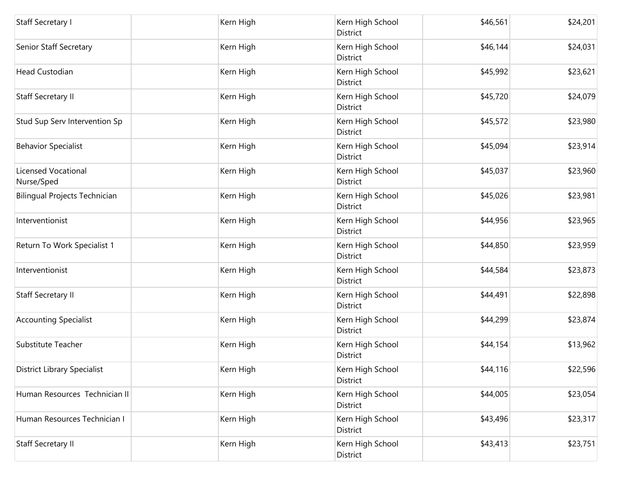| Staff Secretary I                        | Kern High | Kern High School<br>District | \$46,561 | \$24,201 |
|------------------------------------------|-----------|------------------------------|----------|----------|
| Senior Staff Secretary                   | Kern High | Kern High School<br>District | \$46,144 | \$24,031 |
| <b>Head Custodian</b>                    | Kern High | Kern High School<br>District | \$45,992 | \$23,621 |
| <b>Staff Secretary II</b>                | Kern High | Kern High School<br>District | \$45,720 | \$24,079 |
| Stud Sup Serv Intervention Sp            | Kern High | Kern High School<br>District | \$45,572 | \$23,980 |
| <b>Behavior Specialist</b>               | Kern High | Kern High School<br>District | \$45,094 | \$23,914 |
| <b>Licensed Vocational</b><br>Nurse/Sped | Kern High | Kern High School<br>District | \$45,037 | \$23,960 |
| Bilingual Projects Technician            | Kern High | Kern High School<br>District | \$45,026 | \$23,981 |
| Interventionist                          | Kern High | Kern High School<br>District | \$44,956 | \$23,965 |
| Return To Work Specialist 1              | Kern High | Kern High School<br>District | \$44,850 | \$23,959 |
| Interventionist                          | Kern High | Kern High School<br>District | \$44,584 | \$23,873 |
| <b>Staff Secretary II</b>                | Kern High | Kern High School<br>District | \$44,491 | \$22,898 |
| <b>Accounting Specialist</b>             | Kern High | Kern High School<br>District | \$44,299 | \$23,874 |
| Substitute Teacher                       | Kern High | Kern High School<br>District | \$44,154 | \$13,962 |
| <b>District Library Specialist</b>       | Kern High | Kern High School<br>District | \$44,116 | \$22,596 |
| Human Resources Technician II            | Kern High | Kern High School<br>District | \$44,005 | \$23,054 |
| Human Resources Technician I             | Kern High | Kern High School<br>District | \$43,496 | \$23,317 |
| <b>Staff Secretary II</b>                | Kern High | Kern High School<br>District | \$43,413 | \$23,751 |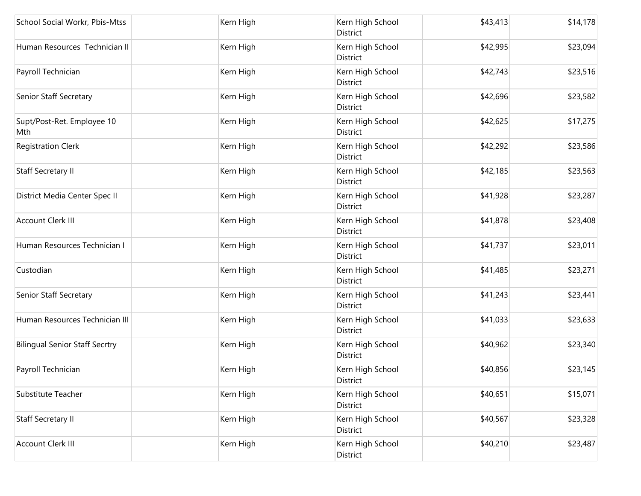| School Social Workr, Pbis-Mtss        | Kern High | Kern High School<br>District        | \$43,413 | \$14,178 |
|---------------------------------------|-----------|-------------------------------------|----------|----------|
| Human Resources Technician II         | Kern High | Kern High School<br>District        | \$42,995 | \$23,094 |
| Payroll Technician                    | Kern High | Kern High School<br>District        | \$42,743 | \$23,516 |
| Senior Staff Secretary                | Kern High | Kern High School<br>District        | \$42,696 | \$23,582 |
| Supt/Post-Ret. Employee 10<br>Mth     | Kern High | Kern High School<br>District        | \$42,625 | \$17,275 |
| <b>Registration Clerk</b>             | Kern High | Kern High School<br>District        | \$42,292 | \$23,586 |
| <b>Staff Secretary II</b>             | Kern High | Kern High School<br>District        | \$42,185 | \$23,563 |
| District Media Center Spec II         | Kern High | Kern High School<br>District        | \$41,928 | \$23,287 |
| <b>Account Clerk III</b>              | Kern High | Kern High School<br>District        | \$41,878 | \$23,408 |
| Human Resources Technician I          | Kern High | Kern High School<br>District        | \$41,737 | \$23,011 |
| Custodian                             | Kern High | Kern High School<br>District        | \$41,485 | \$23,271 |
| Senior Staff Secretary                | Kern High | Kern High School<br>District        | \$41,243 | \$23,441 |
| Human Resources Technician III        | Kern High | Kern High School<br>District        | \$41,033 | \$23,633 |
| <b>Bilingual Senior Staff Secrtry</b> | Kern High | Kern High School<br><b>District</b> | \$40,962 | \$23,340 |
| Payroll Technician                    | Kern High | Kern High School<br>District        | \$40,856 | \$23,145 |
| Substitute Teacher                    | Kern High | Kern High School<br>District        | \$40,651 | \$15,071 |
| Staff Secretary II                    | Kern High | Kern High School<br>District        | \$40,567 | \$23,328 |
| Account Clerk III                     | Kern High | Kern High School<br>District        | \$40,210 | \$23,487 |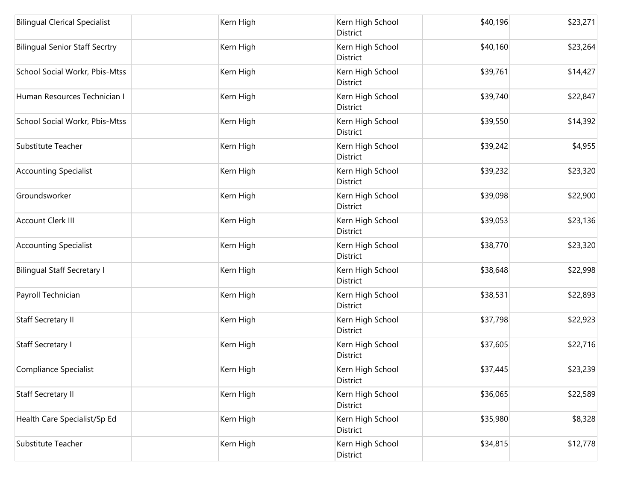| <b>Bilingual Clerical Specialist</b>  | Kern High | Kern High School<br>District        | \$40,196 | \$23,271 |
|---------------------------------------|-----------|-------------------------------------|----------|----------|
| <b>Bilingual Senior Staff Secrtry</b> | Kern High | Kern High School<br>District        | \$40,160 | \$23,264 |
| School Social Workr, Pbis-Mtss        | Kern High | Kern High School<br>District        | \$39,761 | \$14,427 |
| Human Resources Technician I          | Kern High | Kern High School<br><b>District</b> | \$39,740 | \$22,847 |
| School Social Workr, Pbis-Mtss        | Kern High | Kern High School<br>District        | \$39,550 | \$14,392 |
| Substitute Teacher                    | Kern High | Kern High School<br>District        | \$39,242 | \$4,955  |
| <b>Accounting Specialist</b>          | Kern High | Kern High School<br>District        | \$39,232 | \$23,320 |
| Groundsworker                         | Kern High | Kern High School<br>District        | \$39,098 | \$22,900 |
| <b>Account Clerk III</b>              | Kern High | Kern High School<br>District        | \$39,053 | \$23,136 |
| <b>Accounting Specialist</b>          | Kern High | Kern High School<br>District        | \$38,770 | \$23,320 |
| <b>Bilingual Staff Secretary I</b>    | Kern High | Kern High School<br>District        | \$38,648 | \$22,998 |
| Payroll Technician                    | Kern High | Kern High School<br>District        | \$38,531 | \$22,893 |
| Staff Secretary II                    | Kern High | Kern High School<br>District        | \$37,798 | \$22,923 |
| Staff Secretary I                     | Kern High | Kern High School<br>District        | \$37,605 | \$22,716 |
| Compliance Specialist                 | Kern High | Kern High School<br>District        | \$37,445 | \$23,239 |
| Staff Secretary II                    | Kern High | Kern High School<br>District        | \$36,065 | \$22,589 |
| Health Care Specialist/Sp Ed          | Kern High | Kern High School<br>District        | \$35,980 | \$8,328  |
| Substitute Teacher                    | Kern High | Kern High School<br>District        | \$34,815 | \$12,778 |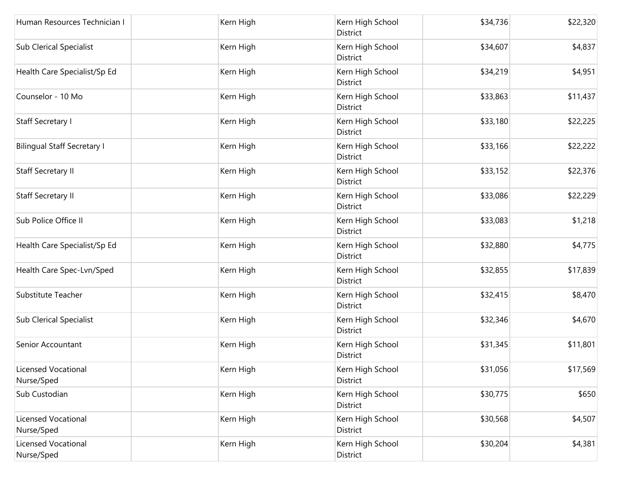| Human Resources Technician I             | Kern High | Kern High School<br>District | \$34,736 | \$22,320 |
|------------------------------------------|-----------|------------------------------|----------|----------|
| <b>Sub Clerical Specialist</b>           | Kern High | Kern High School<br>District | \$34,607 | \$4,837  |
| Health Care Specialist/Sp Ed             | Kern High | Kern High School<br>District | \$34,219 | \$4,951  |
| Counselor - 10 Mo                        | Kern High | Kern High School<br>District | \$33,863 | \$11,437 |
| <b>Staff Secretary I</b>                 | Kern High | Kern High School<br>District | \$33,180 | \$22,225 |
| <b>Bilingual Staff Secretary I</b>       | Kern High | Kern High School<br>District | \$33,166 | \$22,222 |
| <b>Staff Secretary II</b>                | Kern High | Kern High School<br>District | \$33,152 | \$22,376 |
| <b>Staff Secretary II</b>                | Kern High | Kern High School<br>District | \$33,086 | \$22,229 |
| Sub Police Office II                     | Kern High | Kern High School<br>District | \$33,083 | \$1,218  |
| Health Care Specialist/Sp Ed             | Kern High | Kern High School<br>District | \$32,880 | \$4,775  |
| Health Care Spec-Lvn/Sped                | Kern High | Kern High School<br>District | \$32,855 | \$17,839 |
| Substitute Teacher                       | Kern High | Kern High School<br>District | \$32,415 | \$8,470  |
| <b>Sub Clerical Specialist</b>           | Kern High | Kern High School<br>District | \$32,346 | \$4,670  |
| Senior Accountant                        | Kern High | Kern High School<br>District | \$31,345 | \$11,801 |
| <b>Licensed Vocational</b><br>Nurse/Sped | Kern High | Kern High School<br>District | \$31,056 | \$17,569 |
| Sub Custodian                            | Kern High | Kern High School<br>District | \$30,775 | \$650    |
| <b>Licensed Vocational</b><br>Nurse/Sped | Kern High | Kern High School<br>District | \$30,568 | \$4,507  |
| <b>Licensed Vocational</b><br>Nurse/Sped | Kern High | Kern High School<br>District | \$30,204 | \$4,381  |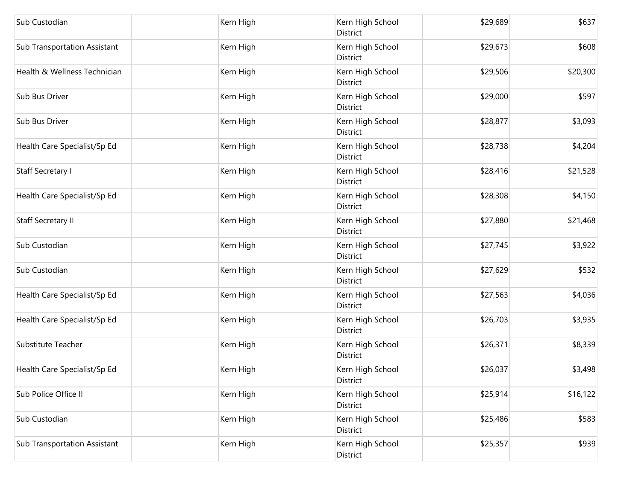| Sub Custodian                       | Kern High | Kern High School<br>District | \$29,689 | \$637    |
|-------------------------------------|-----------|------------------------------|----------|----------|
| <b>Sub Transportation Assistant</b> | Kern High | Kern High School<br>District | \$29,673 | \$608    |
| Health & Wellness Technician        | Kern High | Kern High School<br>District | \$29,506 | \$20,300 |
| Sub Bus Driver                      | Kern High | Kern High School<br>District | \$29,000 | \$597    |
| Sub Bus Driver                      | Kern High | Kern High School<br>District | \$28,877 | \$3,093  |
| Health Care Specialist/Sp Ed        | Kern High | Kern High School<br>District | \$28,738 | \$4,204  |
| <b>Staff Secretary I</b>            | Kern High | Kern High School<br>District | \$28,416 | \$21,528 |
| Health Care Specialist/Sp Ed        | Kern High | Kern High School<br>District | \$28,308 | \$4,150  |
| <b>Staff Secretary II</b>           | Kern High | Kern High School<br>District | \$27,880 | \$21,468 |
| Sub Custodian                       | Kern High | Kern High School<br>District | \$27,745 | \$3,922  |
| Sub Custodian                       | Kern High | Kern High School<br>District | \$27,629 | \$532    |
| Health Care Specialist/Sp Ed        | Kern High | Kern High School<br>District | \$27,563 | \$4,036  |
| Health Care Specialist/Sp Ed        | Kern High | Kern High School<br>District | \$26,703 | \$3,935  |
| Substitute Teacher                  | Kern High | Kern High School<br>District | \$26,371 | \$8,339  |
| Health Care Specialist/Sp Ed        | Kern High | Kern High School<br>District | \$26,037 | \$3,498  |
| Sub Police Office II                | Kern High | Kern High School<br>District | \$25,914 | \$16,122 |
| Sub Custodian                       | Kern High | Kern High School<br>District | \$25,486 | \$583    |
| <b>Sub Transportation Assistant</b> | Kern High | Kern High School<br>District | \$25,357 | \$939    |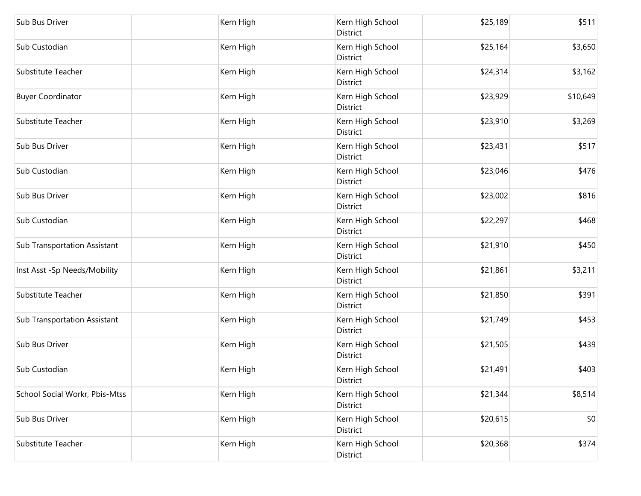| Sub Bus Driver                      | Kern High | Kern High School<br>District | \$25,189 | \$511    |
|-------------------------------------|-----------|------------------------------|----------|----------|
| Sub Custodian                       | Kern High | Kern High School<br>District | \$25,164 | \$3,650  |
| Substitute Teacher                  | Kern High | Kern High School<br>District | \$24,314 | \$3,162  |
| <b>Buyer Coordinator</b>            | Kern High | Kern High School<br>District | \$23,929 | \$10,649 |
| Substitute Teacher                  | Kern High | Kern High School<br>District | \$23,910 | \$3,269  |
| Sub Bus Driver                      | Kern High | Kern High School<br>District | \$23,431 | \$517    |
| Sub Custodian                       | Kern High | Kern High School<br>District | \$23,046 | \$476    |
| Sub Bus Driver                      | Kern High | Kern High School<br>District | \$23,002 | \$816    |
| Sub Custodian                       | Kern High | Kern High School<br>District | \$22,297 | \$468    |
| <b>Sub Transportation Assistant</b> | Kern High | Kern High School<br>District | \$21,910 | \$450    |
| Inst Asst -Sp Needs/Mobility        | Kern High | Kern High School<br>District | \$21,861 | \$3,211  |
| Substitute Teacher                  | Kern High | Kern High School<br>District | \$21,850 | \$391    |
| <b>Sub Transportation Assistant</b> | Kern High | Kern High School<br>District | \$21,749 | \$453    |
| Sub Bus Driver                      | Kern High | Kern High School<br>District | \$21,505 | \$439    |
| Sub Custodian                       | Kern High | Kern High School<br>District | \$21,491 | \$403    |
| School Social Workr, Pbis-Mtss      | Kern High | Kern High School<br>District | \$21,344 | \$8,514  |
| Sub Bus Driver                      | Kern High | Kern High School<br>District | \$20,615 | \$0      |
| Substitute Teacher                  | Kern High | Kern High School<br>District | \$20,368 | \$374    |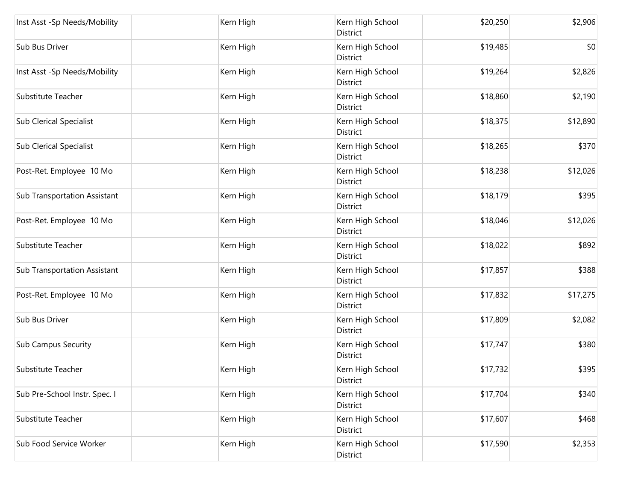| Inst Asst -Sp Needs/Mobility        | Kern High | Kern High School<br><b>District</b> | \$20,250 | \$2,906  |
|-------------------------------------|-----------|-------------------------------------|----------|----------|
| Sub Bus Driver                      | Kern High | Kern High School<br>District        | \$19,485 | \$0      |
| Inst Asst -Sp Needs/Mobility        | Kern High | Kern High School<br>District        | \$19,264 | \$2,826  |
| Substitute Teacher                  | Kern High | Kern High School<br>District        | \$18,860 | \$2,190  |
| <b>Sub Clerical Specialist</b>      | Kern High | Kern High School<br>District        | \$18,375 | \$12,890 |
| <b>Sub Clerical Specialist</b>      | Kern High | Kern High School<br>District        | \$18,265 | \$370    |
| Post-Ret. Employee 10 Mo            | Kern High | Kern High School<br>District        | \$18,238 | \$12,026 |
| <b>Sub Transportation Assistant</b> | Kern High | Kern High School<br>District        | \$18,179 | \$395    |
| Post-Ret. Employee 10 Mo            | Kern High | Kern High School<br>District        | \$18,046 | \$12,026 |
| Substitute Teacher                  | Kern High | Kern High School<br>District        | \$18,022 | \$892    |
| <b>Sub Transportation Assistant</b> | Kern High | Kern High School<br>District        | \$17,857 | \$388    |
| Post-Ret. Employee 10 Mo            | Kern High | Kern High School<br>District        | \$17,832 | \$17,275 |
| Sub Bus Driver                      | Kern High | Kern High School<br>District        | \$17,809 | \$2,082  |
| <b>Sub Campus Security</b>          | Kern High | Kern High School<br>District        | \$17,747 | \$380    |
| Substitute Teacher                  | Kern High | Kern High School<br>District        | \$17,732 | \$395    |
| Sub Pre-School Instr. Spec. I       | Kern High | Kern High School<br>District        | \$17,704 | \$340    |
| Substitute Teacher                  | Kern High | Kern High School<br>District        | \$17,607 | \$468    |
| Sub Food Service Worker             | Kern High | Kern High School<br>District        | \$17,590 | \$2,353  |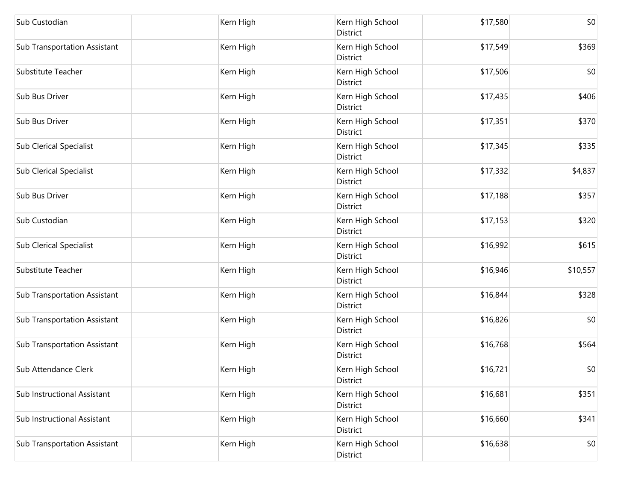| Sub Custodian                       | Kern High | Kern High School<br>District | \$17,580 | \$0      |
|-------------------------------------|-----------|------------------------------|----------|----------|
| <b>Sub Transportation Assistant</b> | Kern High | Kern High School<br>District | \$17,549 | \$369    |
| Substitute Teacher                  | Kern High | Kern High School<br>District | \$17,506 | \$0      |
| Sub Bus Driver                      | Kern High | Kern High School<br>District | \$17,435 | \$406    |
| Sub Bus Driver                      | Kern High | Kern High School<br>District | \$17,351 | \$370    |
| <b>Sub Clerical Specialist</b>      | Kern High | Kern High School<br>District | \$17,345 | \$335    |
| <b>Sub Clerical Specialist</b>      | Kern High | Kern High School<br>District | \$17,332 | \$4,837  |
| Sub Bus Driver                      | Kern High | Kern High School<br>District | \$17,188 | \$357    |
| Sub Custodian                       | Kern High | Kern High School<br>District | \$17,153 | \$320    |
| <b>Sub Clerical Specialist</b>      | Kern High | Kern High School<br>District | \$16,992 | \$615    |
| Substitute Teacher                  | Kern High | Kern High School<br>District | \$16,946 | \$10,557 |
| <b>Sub Transportation Assistant</b> | Kern High | Kern High School<br>District | \$16,844 | \$328    |
| <b>Sub Transportation Assistant</b> | Kern High | Kern High School<br>District | \$16,826 | \$0      |
| <b>Sub Transportation Assistant</b> | Kern High | Kern High School<br>District | \$16,768 | \$564    |
| Sub Attendance Clerk                | Kern High | Kern High School<br>District | \$16,721 | \$0      |
| Sub Instructional Assistant         | Kern High | Kern High School<br>District | \$16,681 | \$351    |
| Sub Instructional Assistant         | Kern High | Kern High School<br>District | \$16,660 | \$341    |
| <b>Sub Transportation Assistant</b> | Kern High | Kern High School<br>District | \$16,638 | \$0      |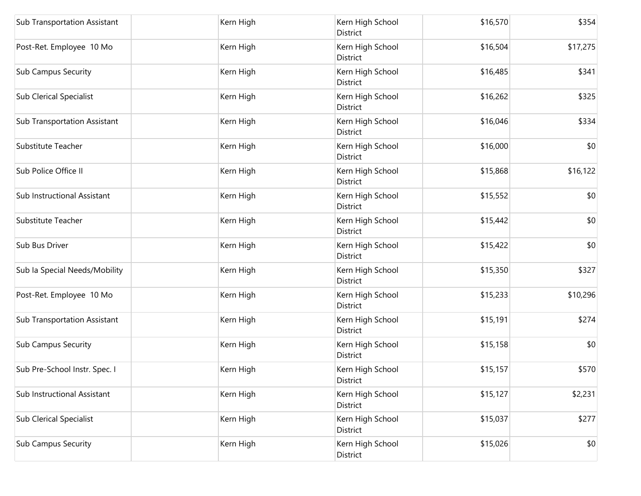| Sub Transportation Assistant        | Kern High | Kern High School<br>District | \$16,570 | \$354    |
|-------------------------------------|-----------|------------------------------|----------|----------|
| Post-Ret. Employee 10 Mo            | Kern High | Kern High School<br>District | \$16,504 | \$17,275 |
| <b>Sub Campus Security</b>          | Kern High | Kern High School<br>District | \$16,485 | \$341    |
| <b>Sub Clerical Specialist</b>      | Kern High | Kern High School<br>District | \$16,262 | \$325    |
| Sub Transportation Assistant        | Kern High | Kern High School<br>District | \$16,046 | \$334    |
| Substitute Teacher                  | Kern High | Kern High School<br>District | \$16,000 | \$0      |
| Sub Police Office II                | Kern High | Kern High School<br>District | \$15,868 | \$16,122 |
| Sub Instructional Assistant         | Kern High | Kern High School<br>District | \$15,552 | \$0      |
| Substitute Teacher                  | Kern High | Kern High School<br>District | \$15,442 | \$0      |
| Sub Bus Driver                      | Kern High | Kern High School<br>District | \$15,422 | \$0      |
| Sub la Special Needs/Mobility       | Kern High | Kern High School<br>District | \$15,350 | \$327    |
| Post-Ret. Employee 10 Mo            | Kern High | Kern High School<br>District | \$15,233 | \$10,296 |
| <b>Sub Transportation Assistant</b> | Kern High | Kern High School<br>District | \$15,191 | \$274    |
| Sub Campus Security                 | Kern High | Kern High School<br>District | \$15,158 | \$0      |
| Sub Pre-School Instr. Spec. I       | Kern High | Kern High School<br>District | \$15,157 | \$570    |
| Sub Instructional Assistant         | Kern High | Kern High School<br>District | \$15,127 | \$2,231  |
| <b>Sub Clerical Specialist</b>      | Kern High | Kern High School<br>District | \$15,037 | \$277    |
| <b>Sub Campus Security</b>          | Kern High | Kern High School<br>District | \$15,026 | \$0      |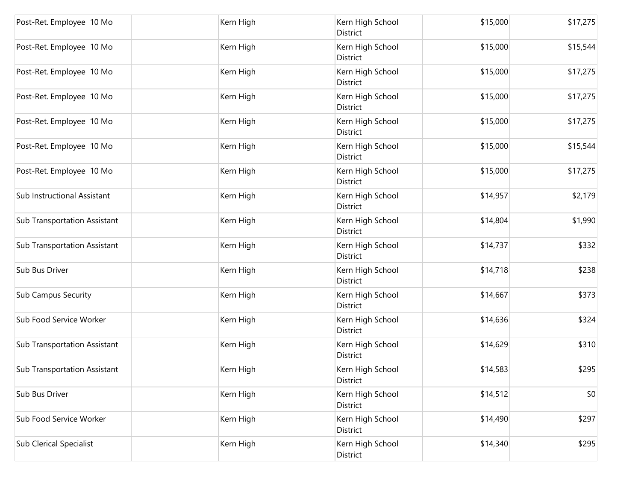| Post-Ret. Employee 10 Mo            | Kern High | Kern High School<br>District        | \$15,000 | \$17,275 |
|-------------------------------------|-----------|-------------------------------------|----------|----------|
| Post-Ret. Employee 10 Mo            | Kern High | Kern High School<br>District        | \$15,000 | \$15,544 |
| Post-Ret. Employee 10 Mo            | Kern High | Kern High School<br>District        | \$15,000 | \$17,275 |
| Post-Ret. Employee 10 Mo            | Kern High | Kern High School<br>District        | \$15,000 | \$17,275 |
| Post-Ret. Employee 10 Mo            | Kern High | Kern High School<br>District        | \$15,000 | \$17,275 |
| Post-Ret. Employee 10 Mo            | Kern High | Kern High School<br>District        | \$15,000 | \$15,544 |
| Post-Ret. Employee 10 Mo            | Kern High | Kern High School<br>District        | \$15,000 | \$17,275 |
| Sub Instructional Assistant         | Kern High | Kern High School<br>District        | \$14,957 | \$2,179  |
| <b>Sub Transportation Assistant</b> | Kern High | Kern High School<br><b>District</b> | \$14,804 | \$1,990  |
| Sub Transportation Assistant        | Kern High | Kern High School<br>District        | \$14,737 | \$332    |
| Sub Bus Driver                      | Kern High | Kern High School<br>District        | \$14,718 | \$238    |
| <b>Sub Campus Security</b>          | Kern High | Kern High School<br>District        | \$14,667 | \$373    |
| Sub Food Service Worker             | Kern High | Kern High School<br>District        | \$14,636 | \$324    |
| Sub Transportation Assistant        | Kern High | Kern High School<br>District        | \$14,629 | \$310    |
| Sub Transportation Assistant        | Kern High | Kern High School<br>District        | \$14,583 | \$295    |
| Sub Bus Driver                      | Kern High | Kern High School<br>District        | \$14,512 | \$0      |
| Sub Food Service Worker             | Kern High | Kern High School<br>District        | \$14,490 | \$297    |
| <b>Sub Clerical Specialist</b>      | Kern High | Kern High School<br>District        | \$14,340 | \$295    |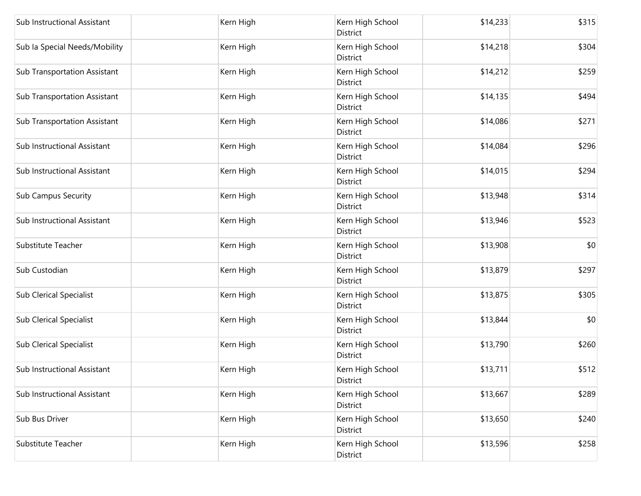| Sub Instructional Assistant         | Kern High | Kern High School<br>District        | \$14,233 | \$315 |
|-------------------------------------|-----------|-------------------------------------|----------|-------|
| Sub la Special Needs/Mobility       | Kern High | Kern High School<br>District        | \$14,218 | \$304 |
| <b>Sub Transportation Assistant</b> | Kern High | Kern High School<br>District        | \$14,212 | \$259 |
| Sub Transportation Assistant        | Kern High | Kern High School<br><b>District</b> | \$14,135 | \$494 |
| <b>Sub Transportation Assistant</b> | Kern High | Kern High School<br><b>District</b> | \$14,086 | \$271 |
| Sub Instructional Assistant         | Kern High | Kern High School<br>District        | \$14,084 | \$296 |
| Sub Instructional Assistant         | Kern High | Kern High School<br>District        | \$14,015 | \$294 |
| <b>Sub Campus Security</b>          | Kern High | Kern High School<br>District        | \$13,948 | \$314 |
| Sub Instructional Assistant         | Kern High | Kern High School<br>District        | \$13,946 | \$523 |
| Substitute Teacher                  | Kern High | Kern High School<br>District        | \$13,908 | \$0   |
| Sub Custodian                       | Kern High | Kern High School<br>District        | \$13,879 | \$297 |
| <b>Sub Clerical Specialist</b>      | Kern High | Kern High School<br>District        | \$13,875 | \$305 |
| <b>Sub Clerical Specialist</b>      | Kern High | Kern High School<br>District        | \$13,844 | \$0   |
| <b>Sub Clerical Specialist</b>      | Kern High | Kern High School<br>District        | \$13,790 | \$260 |
| Sub Instructional Assistant         | Kern High | Kern High School<br>District        | \$13,711 | \$512 |
| Sub Instructional Assistant         | Kern High | Kern High School<br>District        | \$13,667 | \$289 |
| Sub Bus Driver                      | Kern High | Kern High School<br>District        | \$13,650 | \$240 |
| Substitute Teacher                  | Kern High | Kern High School<br>District        | \$13,596 | \$258 |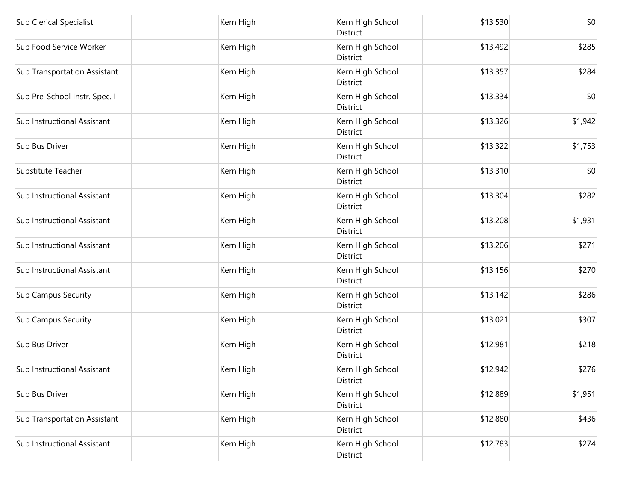| <b>Sub Clerical Specialist</b>      | Kern High | Kern High School<br>District        | \$13,530 | \$0     |
|-------------------------------------|-----------|-------------------------------------|----------|---------|
| Sub Food Service Worker             | Kern High | Kern High School<br><b>District</b> | \$13,492 | \$285   |
| <b>Sub Transportation Assistant</b> | Kern High | Kern High School<br>District        | \$13,357 | \$284   |
| Sub Pre-School Instr. Spec. I       | Kern High | Kern High School<br>District        | \$13,334 | \$0     |
| Sub Instructional Assistant         | Kern High | Kern High School<br>District        | \$13,326 | \$1,942 |
| Sub Bus Driver                      | Kern High | Kern High School<br>District        | \$13,322 | \$1,753 |
| Substitute Teacher                  | Kern High | Kern High School<br>District        | \$13,310 | \$0     |
| Sub Instructional Assistant         | Kern High | Kern High School<br>District        | \$13,304 | \$282   |
| Sub Instructional Assistant         | Kern High | Kern High School<br>District        | \$13,208 | \$1,931 |
| Sub Instructional Assistant         | Kern High | Kern High School<br>District        | \$13,206 | \$271   |
| Sub Instructional Assistant         | Kern High | Kern High School<br>District        | \$13,156 | \$270   |
| <b>Sub Campus Security</b>          | Kern High | Kern High School<br>District        | \$13,142 | \$286   |
| Sub Campus Security                 | Kern High | Kern High School<br>District        | \$13,021 | \$307   |
| Sub Bus Driver                      | Kern High | Kern High School<br>District        | \$12,981 | \$218   |
| Sub Instructional Assistant         | Kern High | Kern High School<br>District        | \$12,942 | \$276   |
| Sub Bus Driver                      | Kern High | Kern High School<br>District        | \$12,889 | \$1,951 |
| Sub Transportation Assistant        | Kern High | Kern High School<br>District        | \$12,880 | \$436   |
| Sub Instructional Assistant         | Kern High | Kern High School<br>District        | \$12,783 | \$274   |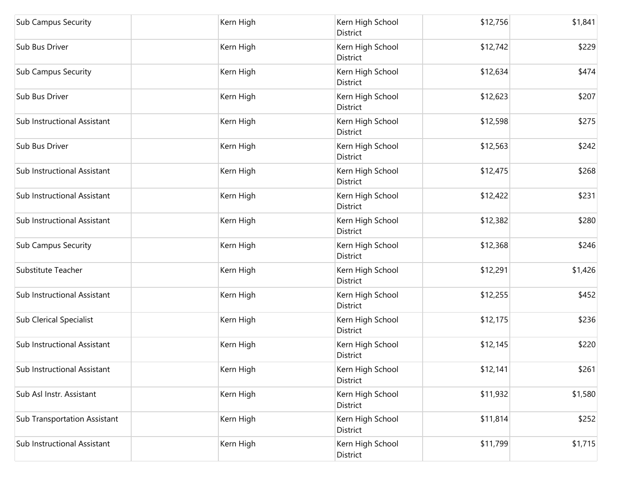| <b>Sub Campus Security</b>          | Kern High | Kern High School<br>District        | \$12,756 | \$1,841 |
|-------------------------------------|-----------|-------------------------------------|----------|---------|
| Sub Bus Driver                      | Kern High | Kern High School<br>District        | \$12,742 | \$229   |
| <b>Sub Campus Security</b>          | Kern High | Kern High School<br>District        | \$12,634 | \$474   |
| Sub Bus Driver                      | Kern High | Kern High School<br>District        | \$12,623 | \$207   |
| Sub Instructional Assistant         | Kern High | Kern High School<br><b>District</b> | \$12,598 | \$275   |
| Sub Bus Driver                      | Kern High | Kern High School<br>District        | \$12,563 | \$242   |
| Sub Instructional Assistant         | Kern High | Kern High School<br>District        | \$12,475 | \$268   |
| Sub Instructional Assistant         | Kern High | Kern High School<br>District        | \$12,422 | \$231   |
| Sub Instructional Assistant         | Kern High | Kern High School<br>District        | \$12,382 | \$280   |
| <b>Sub Campus Security</b>          | Kern High | Kern High School<br>District        | \$12,368 | \$246   |
| Substitute Teacher                  | Kern High | Kern High School<br>District        | \$12,291 | \$1,426 |
| Sub Instructional Assistant         | Kern High | Kern High School<br>District        | \$12,255 | \$452   |
| <b>Sub Clerical Specialist</b>      | Kern High | Kern High School<br><b>District</b> | \$12,175 | \$236   |
| Sub Instructional Assistant         | Kern High | Kern High School<br>District        | \$12,145 | \$220   |
| Sub Instructional Assistant         | Kern High | Kern High School<br>District        | \$12,141 | \$261   |
| Sub Asl Instr. Assistant            | Kern High | Kern High School<br>District        | \$11,932 | \$1,580 |
| <b>Sub Transportation Assistant</b> | Kern High | Kern High School<br>District        | \$11,814 | \$252   |
| Sub Instructional Assistant         | Kern High | Kern High School<br>District        | \$11,799 | \$1,715 |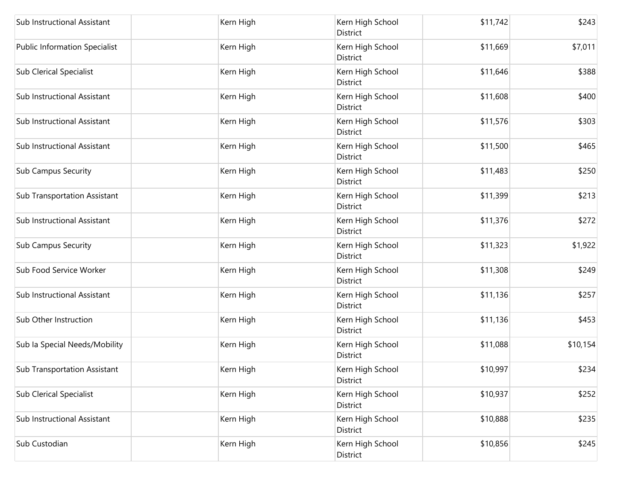| Sub Instructional Assistant          | Kern High | Kern High School<br>District        | \$11,742 | \$243    |
|--------------------------------------|-----------|-------------------------------------|----------|----------|
| <b>Public Information Specialist</b> | Kern High | Kern High School<br>District        | \$11,669 | \$7,011  |
| <b>Sub Clerical Specialist</b>       | Kern High | Kern High School<br>District        | \$11,646 | \$388    |
| Sub Instructional Assistant          | Kern High | Kern High School<br>District        | \$11,608 | \$400    |
| Sub Instructional Assistant          | Kern High | Kern High School<br>District        | \$11,576 | \$303    |
| Sub Instructional Assistant          | Kern High | Kern High School<br>District        | \$11,500 | \$465    |
| <b>Sub Campus Security</b>           | Kern High | Kern High School<br>District        | \$11,483 | \$250    |
| <b>Sub Transportation Assistant</b>  | Kern High | Kern High School<br>District        | \$11,399 | \$213    |
| Sub Instructional Assistant          | Kern High | Kern High School<br><b>District</b> | \$11,376 | \$272    |
| <b>Sub Campus Security</b>           | Kern High | Kern High School<br>District        | \$11,323 | \$1,922  |
| Sub Food Service Worker              | Kern High | Kern High School<br>District        | \$11,308 | \$249    |
| Sub Instructional Assistant          | Kern High | Kern High School<br>District        | \$11,136 | \$257    |
| Sub Other Instruction                | Kern High | Kern High School<br>District        | \$11,136 | \$453    |
| Sub la Special Needs/Mobility        | Kern High | Kern High School<br>District        | \$11,088 | \$10,154 |
| <b>Sub Transportation Assistant</b>  | Kern High | Kern High School<br>District        | \$10,997 | \$234    |
| <b>Sub Clerical Specialist</b>       | Kern High | Kern High School<br>District        | \$10,937 | \$252    |
| Sub Instructional Assistant          | Kern High | Kern High School<br>District        | \$10,888 | \$235    |
| Sub Custodian                        | Kern High | Kern High School<br>District        | \$10,856 | \$245    |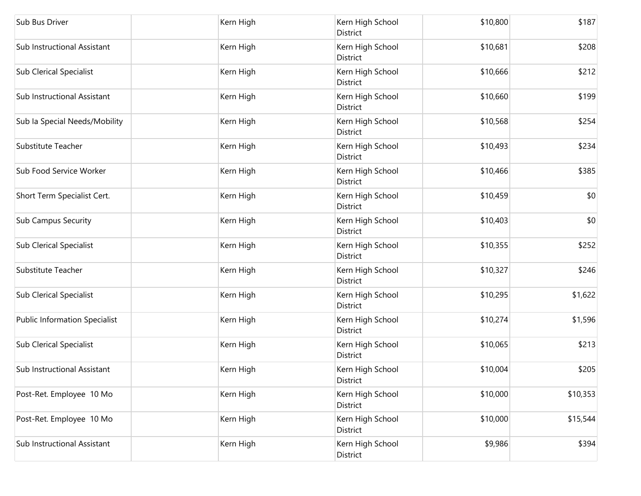| Sub Bus Driver                       | Kern High | Kern High School<br>District | \$10,800 | \$187    |
|--------------------------------------|-----------|------------------------------|----------|----------|
| Sub Instructional Assistant          | Kern High | Kern High School<br>District | \$10,681 | \$208    |
| <b>Sub Clerical Specialist</b>       | Kern High | Kern High School<br>District | \$10,666 | \$212    |
| Sub Instructional Assistant          | Kern High | Kern High School<br>District | \$10,660 | \$199    |
| Sub la Special Needs/Mobility        | Kern High | Kern High School<br>District | \$10,568 | \$254    |
| Substitute Teacher                   | Kern High | Kern High School<br>District | \$10,493 | \$234    |
| Sub Food Service Worker              | Kern High | Kern High School<br>District | \$10,466 | \$385    |
| Short Term Specialist Cert.          | Kern High | Kern High School<br>District | \$10,459 | \$0      |
| <b>Sub Campus Security</b>           | Kern High | Kern High School<br>District | \$10,403 | \$0      |
| <b>Sub Clerical Specialist</b>       | Kern High | Kern High School<br>District | \$10,355 | \$252    |
| Substitute Teacher                   | Kern High | Kern High School<br>District | \$10,327 | \$246    |
| <b>Sub Clerical Specialist</b>       | Kern High | Kern High School<br>District | \$10,295 | \$1,622  |
| <b>Public Information Specialist</b> | Kern High | Kern High School<br>District | \$10,274 | \$1,596  |
| <b>Sub Clerical Specialist</b>       | Kern High | Kern High School<br>District | \$10,065 | \$213    |
| Sub Instructional Assistant          | Kern High | Kern High School<br>District | \$10,004 | \$205    |
| Post-Ret. Employee 10 Mo             | Kern High | Kern High School<br>District | \$10,000 | \$10,353 |
| Post-Ret. Employee 10 Mo             | Kern High | Kern High School<br>District | \$10,000 | \$15,544 |
| Sub Instructional Assistant          | Kern High | Kern High School<br>District | \$9,986  | \$394    |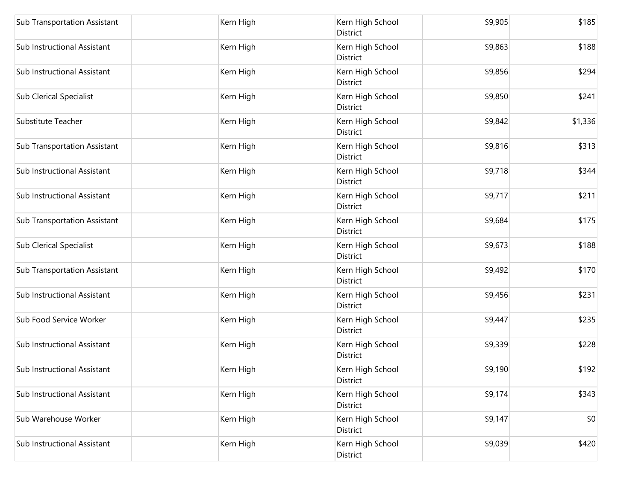| <b>Sub Transportation Assistant</b> | Kern High | Kern High School<br>District        | \$9,905 | \$185   |
|-------------------------------------|-----------|-------------------------------------|---------|---------|
| Sub Instructional Assistant         | Kern High | Kern High School<br>District        | \$9,863 | \$188   |
| Sub Instructional Assistant         | Kern High | Kern High School<br>District        | \$9,856 | \$294   |
| <b>Sub Clerical Specialist</b>      | Kern High | Kern High School<br>District        | \$9,850 | \$241   |
| Substitute Teacher                  | Kern High | Kern High School<br><b>District</b> | \$9,842 | \$1,336 |
| <b>Sub Transportation Assistant</b> | Kern High | Kern High School<br>District        | \$9,816 | \$313   |
| Sub Instructional Assistant         | Kern High | Kern High School<br>District        | \$9,718 | \$344   |
| Sub Instructional Assistant         | Kern High | Kern High School<br>District        | \$9,717 | \$211   |
| Sub Transportation Assistant        | Kern High | Kern High School<br>District        | \$9,684 | \$175   |
| <b>Sub Clerical Specialist</b>      | Kern High | Kern High School<br>District        | \$9,673 | \$188   |
| <b>Sub Transportation Assistant</b> | Kern High | Kern High School<br>District        | \$9,492 | \$170   |
| Sub Instructional Assistant         | Kern High | Kern High School<br>District        | \$9,456 | \$231   |
| Sub Food Service Worker             | Kern High | Kern High School<br>District        | \$9,447 | \$235   |
| Sub Instructional Assistant         | Kern High | Kern High School<br>District        | \$9,339 | \$228   |
| Sub Instructional Assistant         | Kern High | Kern High School<br>District        | \$9,190 | \$192   |
| Sub Instructional Assistant         | Kern High | Kern High School<br>District        | \$9,174 | \$343   |
| Sub Warehouse Worker                | Kern High | Kern High School<br>District        | \$9,147 | \$0     |
| Sub Instructional Assistant         | Kern High | Kern High School<br>District        | \$9,039 | \$420   |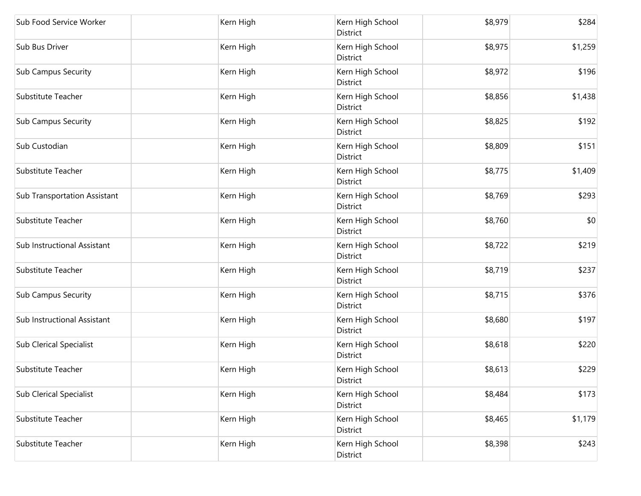| Sub Food Service Worker             | Kern High | Kern High School<br>District | \$8,979 | \$284   |
|-------------------------------------|-----------|------------------------------|---------|---------|
| Sub Bus Driver                      | Kern High | Kern High School<br>District | \$8,975 | \$1,259 |
| <b>Sub Campus Security</b>          | Kern High | Kern High School<br>District | \$8,972 | \$196   |
| Substitute Teacher                  | Kern High | Kern High School<br>District | \$8,856 | \$1,438 |
| <b>Sub Campus Security</b>          | Kern High | Kern High School<br>District | \$8,825 | \$192   |
| Sub Custodian                       | Kern High | Kern High School<br>District | \$8,809 | \$151   |
| Substitute Teacher                  | Kern High | Kern High School<br>District | \$8,775 | \$1,409 |
| <b>Sub Transportation Assistant</b> | Kern High | Kern High School<br>District | \$8,769 | \$293   |
| Substitute Teacher                  | Kern High | Kern High School<br>District | \$8,760 | \$0     |
| Sub Instructional Assistant         | Kern High | Kern High School<br>District | \$8,722 | \$219   |
| Substitute Teacher                  | Kern High | Kern High School<br>District | \$8,719 | \$237   |
| <b>Sub Campus Security</b>          | Kern High | Kern High School<br>District | \$8,715 | \$376   |
| Sub Instructional Assistant         | Kern High | Kern High School<br>District | \$8,680 | \$197   |
| <b>Sub Clerical Specialist</b>      | Kern High | Kern High School<br>District | \$8,618 | \$220   |
| Substitute Teacher                  | Kern High | Kern High School<br>District | \$8,613 | \$229   |
| <b>Sub Clerical Specialist</b>      | Kern High | Kern High School<br>District | \$8,484 | \$173   |
| Substitute Teacher                  | Kern High | Kern High School<br>District | \$8,465 | \$1,179 |
| Substitute Teacher                  | Kern High | Kern High School<br>District | \$8,398 | \$243   |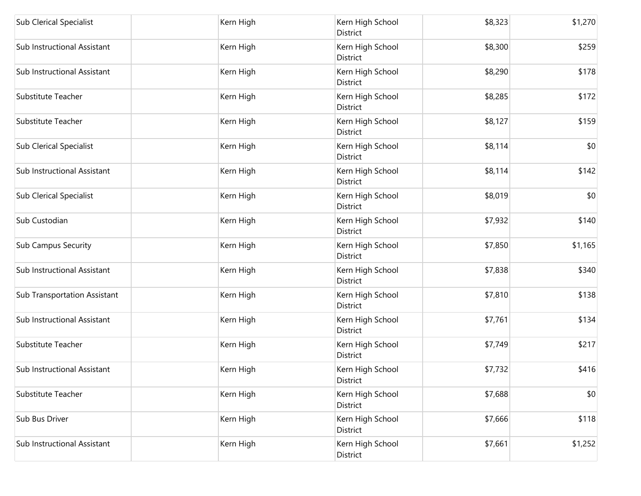| <b>Sub Clerical Specialist</b>      | Kern High | Kern High School<br>District        | \$8,323 | \$1,270 |
|-------------------------------------|-----------|-------------------------------------|---------|---------|
| Sub Instructional Assistant         | Kern High | Kern High School<br>District        | \$8,300 | \$259   |
| Sub Instructional Assistant         | Kern High | Kern High School<br>District        | \$8,290 | \$178   |
| Substitute Teacher                  | Kern High | Kern High School<br>District        | \$8,285 | \$172   |
| Substitute Teacher                  | Kern High | Kern High School<br>District        | \$8,127 | \$159   |
| <b>Sub Clerical Specialist</b>      | Kern High | Kern High School<br>District        | \$8,114 | \$0     |
| Sub Instructional Assistant         | Kern High | Kern High School<br>District        | \$8,114 | \$142   |
| <b>Sub Clerical Specialist</b>      | Kern High | Kern High School<br>District        | \$8,019 | \$0     |
| Sub Custodian                       | Kern High | Kern High School<br>District        | \$7,932 | \$140   |
| <b>Sub Campus Security</b>          | Kern High | Kern High School<br>District        | \$7,850 | \$1,165 |
| Sub Instructional Assistant         | Kern High | Kern High School<br>District        | \$7,838 | \$340   |
| <b>Sub Transportation Assistant</b> | Kern High | Kern High School<br>District        | \$7,810 | \$138   |
| Sub Instructional Assistant         | Kern High | Kern High School<br><b>District</b> | \$7,761 | \$134   |
| Substitute Teacher                  | Kern High | Kern High School<br><b>District</b> | \$7,749 | \$217   |
| Sub Instructional Assistant         | Kern High | Kern High School<br>District        | \$7,732 | \$416   |
| Substitute Teacher                  | Kern High | Kern High School<br>District        | \$7,688 | \$0     |
| Sub Bus Driver                      | Kern High | Kern High School<br>District        | \$7,666 | \$118   |
| Sub Instructional Assistant         | Kern High | Kern High School<br>District        | \$7,661 | \$1,252 |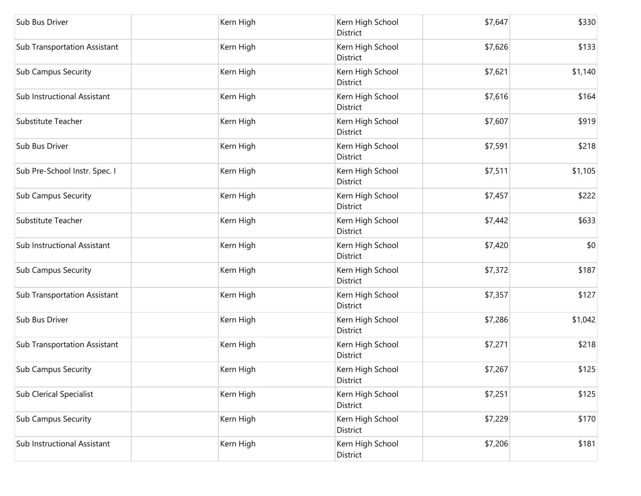| Sub Bus Driver                      | Kern High | Kern High School<br>District        | \$7,647 | \$330   |
|-------------------------------------|-----------|-------------------------------------|---------|---------|
| <b>Sub Transportation Assistant</b> | Kern High | Kern High School<br>District        | \$7,626 | \$133   |
| <b>Sub Campus Security</b>          | Kern High | Kern High School<br>District        | \$7,621 | \$1,140 |
| Sub Instructional Assistant         | Kern High | Kern High School<br>District        | \$7,616 | \$164   |
| Substitute Teacher                  | Kern High | Kern High School<br><b>District</b> | \$7,607 | \$919   |
| Sub Bus Driver                      | Kern High | Kern High School<br>District        | \$7,591 | \$218   |
| Sub Pre-School Instr. Spec. I       | Kern High | Kern High School<br>District        | \$7,511 | \$1,105 |
| <b>Sub Campus Security</b>          | Kern High | Kern High School<br>District        | \$7,457 | \$222   |
| Substitute Teacher                  | Kern High | Kern High School<br>District        | \$7,442 | \$633   |
| Sub Instructional Assistant         | Kern High | Kern High School<br>District        | \$7,420 | \$0     |
| <b>Sub Campus Security</b>          | Kern High | Kern High School<br>District        | \$7,372 | \$187   |
| <b>Sub Transportation Assistant</b> | Kern High | Kern High School<br>District        | \$7,357 | \$127   |
| Sub Bus Driver                      | Kern High | Kern High School<br>District        | \$7,286 | \$1,042 |
| <b>Sub Transportation Assistant</b> | Kern High | Kern High School<br>District        | \$7,271 | \$218   |
| <b>Sub Campus Security</b>          | Kern High | Kern High School<br>District        | \$7,267 | \$125   |
| <b>Sub Clerical Specialist</b>      | Kern High | Kern High School<br>District        | \$7,251 | \$125   |
| <b>Sub Campus Security</b>          | Kern High | Kern High School<br>District        | \$7,229 | \$170   |
| Sub Instructional Assistant         | Kern High | Kern High School<br>District        | \$7,206 | \$181   |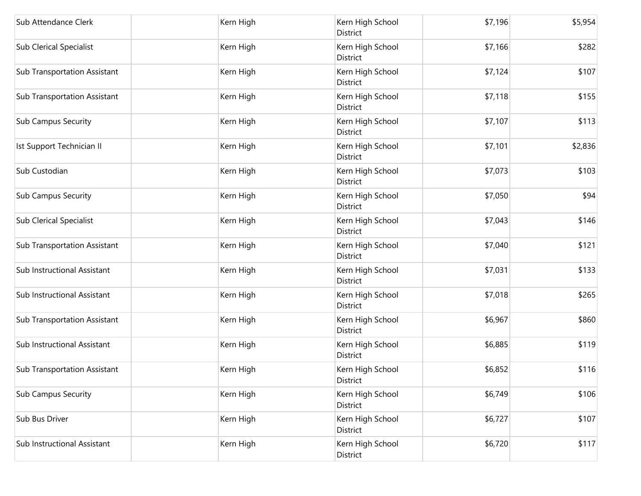| Sub Attendance Clerk                | Kern High | Kern High School<br>District | \$7,196 | \$5,954 |
|-------------------------------------|-----------|------------------------------|---------|---------|
| Sub Clerical Specialist             | Kern High | Kern High School<br>District | \$7,166 | \$282   |
| <b>Sub Transportation Assistant</b> | Kern High | Kern High School<br>District | \$7,124 | \$107   |
| <b>Sub Transportation Assistant</b> | Kern High | Kern High School<br>District | \$7,118 | \$155   |
| Sub Campus Security                 | Kern High | Kern High School<br>District | \$7,107 | \$113   |
| Ist Support Technician II           | Kern High | Kern High School<br>District | \$7,101 | \$2,836 |
| Sub Custodian                       | Kern High | Kern High School<br>District | \$7,073 | \$103   |
| <b>Sub Campus Security</b>          | Kern High | Kern High School<br>District | \$7,050 | \$94    |
| <b>Sub Clerical Specialist</b>      | Kern High | Kern High School<br>District | \$7,043 | \$146   |
| Sub Transportation Assistant        | Kern High | Kern High School<br>District | \$7,040 | \$121   |
| Sub Instructional Assistant         | Kern High | Kern High School<br>District | \$7,031 | \$133   |
| Sub Instructional Assistant         | Kern High | Kern High School<br>District | \$7,018 | \$265   |
| <b>Sub Transportation Assistant</b> | Kern High | Kern High School<br>District | \$6,967 | \$860   |
| Sub Instructional Assistant         | Kern High | Kern High School<br>District | \$6,885 | \$119   |
| Sub Transportation Assistant        | Kern High | Kern High School<br>District | \$6,852 | \$116   |
| <b>Sub Campus Security</b>          | Kern High | Kern High School<br>District | \$6,749 | \$106   |
| Sub Bus Driver                      | Kern High | Kern High School<br>District | \$6,727 | \$107   |
| Sub Instructional Assistant         | Kern High | Kern High School<br>District | \$6,720 | \$117   |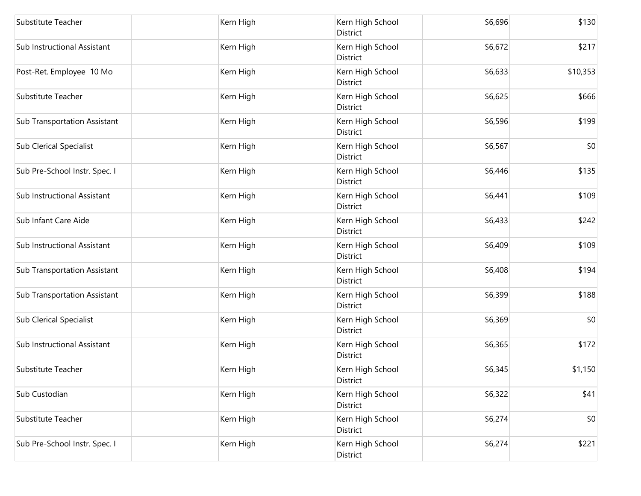| Substitute Teacher                  | Kern High | Kern High School<br>District        | \$6,696 | \$130    |
|-------------------------------------|-----------|-------------------------------------|---------|----------|
| Sub Instructional Assistant         | Kern High | Kern High School<br>District        | \$6,672 | \$217    |
| Post-Ret. Employee 10 Mo            | Kern High | Kern High School<br>District        | \$6,633 | \$10,353 |
| Substitute Teacher                  | Kern High | Kern High School<br>District        | \$6,625 | \$666    |
| Sub Transportation Assistant        | Kern High | Kern High School<br>District        | \$6,596 | \$199    |
| <b>Sub Clerical Specialist</b>      | Kern High | Kern High School<br>District        | \$6,567 | \$0      |
| Sub Pre-School Instr. Spec. I       | Kern High | Kern High School<br>District        | \$6,446 | \$135    |
| Sub Instructional Assistant         | Kern High | Kern High School<br>District        | \$6,441 | \$109    |
| Sub Infant Care Aide                | Kern High | Kern High School<br>District        | \$6,433 | \$242    |
| Sub Instructional Assistant         | Kern High | Kern High School<br>District        | \$6,409 | \$109    |
| <b>Sub Transportation Assistant</b> | Kern High | Kern High School<br>District        | \$6,408 | \$194    |
| Sub Transportation Assistant        | Kern High | Kern High School<br>District        | \$6,399 | \$188    |
| <b>Sub Clerical Specialist</b>      | Kern High | Kern High School<br>District        | \$6,369 | \$0      |
| Sub Instructional Assistant         | Kern High | Kern High School<br><b>District</b> | \$6,365 | \$172    |
| Substitute Teacher                  | Kern High | Kern High School<br>District        | \$6,345 | \$1,150  |
| Sub Custodian                       | Kern High | Kern High School<br>District        | \$6,322 | \$41     |
| Substitute Teacher                  | Kern High | Kern High School<br>District        | \$6,274 | \$0      |
| Sub Pre-School Instr. Spec. I       | Kern High | Kern High School<br>District        | \$6,274 | \$221    |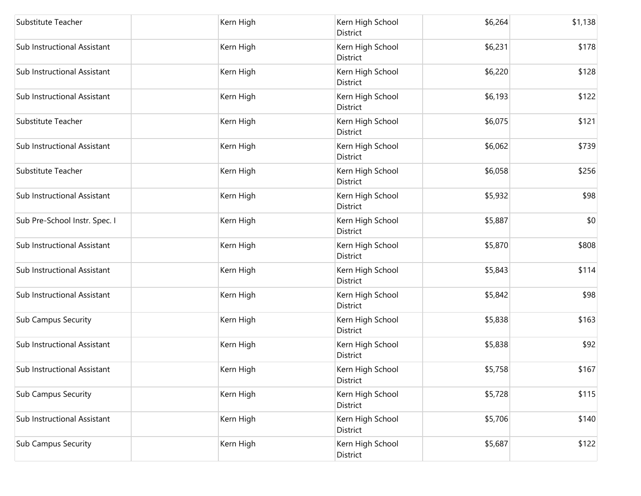| Substitute Teacher            | Kern High | Kern High School<br>District        | \$6,264 | \$1,138 |
|-------------------------------|-----------|-------------------------------------|---------|---------|
| Sub Instructional Assistant   | Kern High | Kern High School<br>District        | \$6,231 | \$178   |
| Sub Instructional Assistant   | Kern High | Kern High School<br>District        | \$6,220 | \$128   |
| Sub Instructional Assistant   | Kern High | Kern High School<br>District        | \$6,193 | \$122   |
| Substitute Teacher            | Kern High | Kern High School<br>District        | \$6,075 | \$121   |
| Sub Instructional Assistant   | Kern High | Kern High School<br>District        | \$6,062 | \$739   |
| Substitute Teacher            | Kern High | Kern High School<br>District        | \$6,058 | \$256   |
| Sub Instructional Assistant   | Kern High | Kern High School<br>District        | \$5,932 | \$98    |
| Sub Pre-School Instr. Spec. I | Kern High | Kern High School<br><b>District</b> | \$5,887 | \$0     |
| Sub Instructional Assistant   | Kern High | Kern High School<br>District        | \$5,870 | \$808   |
| Sub Instructional Assistant   | Kern High | Kern High School<br>District        | \$5,843 | \$114   |
| Sub Instructional Assistant   | Kern High | Kern High School<br>District        | \$5,842 | \$98    |
| <b>Sub Campus Security</b>    | Kern High | Kern High School<br>District        | \$5,838 | \$163   |
| Sub Instructional Assistant   | Kern High | Kern High School<br>District        | \$5,838 | \$92    |
| Sub Instructional Assistant   | Kern High | Kern High School<br>District        | \$5,758 | \$167   |
| <b>Sub Campus Security</b>    | Kern High | Kern High School<br>District        | \$5,728 | \$115   |
| Sub Instructional Assistant   | Kern High | Kern High School<br>District        | \$5,706 | \$140   |
| <b>Sub Campus Security</b>    | Kern High | Kern High School<br>District        | \$5,687 | \$122   |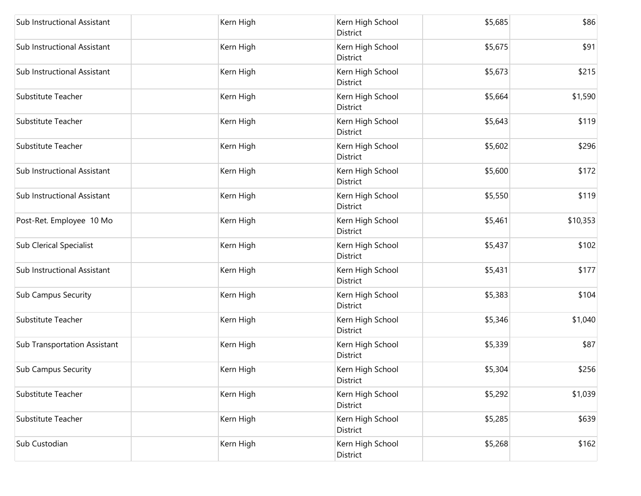| Sub Instructional Assistant    | Kern High | Kern High School<br>District        | \$5,685 | \$86     |
|--------------------------------|-----------|-------------------------------------|---------|----------|
| Sub Instructional Assistant    | Kern High | Kern High School<br>District        | \$5,675 | \$91     |
| Sub Instructional Assistant    | Kern High | Kern High School<br>District        | \$5,673 | \$215    |
| Substitute Teacher             | Kern High | Kern High School<br><b>District</b> | \$5,664 | \$1,590  |
| Substitute Teacher             | Kern High | Kern High School<br><b>District</b> | \$5,643 | \$119    |
| Substitute Teacher             | Kern High | Kern High School<br>District        | \$5,602 | \$296    |
| Sub Instructional Assistant    | Kern High | Kern High School<br>District        | \$5,600 | \$172    |
| Sub Instructional Assistant    | Kern High | Kern High School<br>District        | \$5,550 | \$119    |
| Post-Ret. Employee 10 Mo       | Kern High | Kern High School<br>District        | \$5,461 | \$10,353 |
| <b>Sub Clerical Specialist</b> | Kern High | Kern High School<br>District        | \$5,437 | \$102    |
| Sub Instructional Assistant    | Kern High | Kern High School<br>District        | \$5,431 | \$177    |
| <b>Sub Campus Security</b>     | Kern High | Kern High School<br>District        | \$5,383 | \$104    |
| Substitute Teacher             | Kern High | Kern High School<br>District        | \$5,346 | \$1,040  |
| Sub Transportation Assistant   | Kern High | Kern High School<br>District        | \$5,339 | \$87     |
| Sub Campus Security            | Kern High | Kern High School<br>District        | \$5,304 | \$256    |
| Substitute Teacher             | Kern High | Kern High School<br>District        | \$5,292 | \$1,039  |
| Substitute Teacher             | Kern High | Kern High School<br>District        | \$5,285 | \$639    |
| Sub Custodian                  | Kern High | Kern High School<br>District        | \$5,268 | \$162    |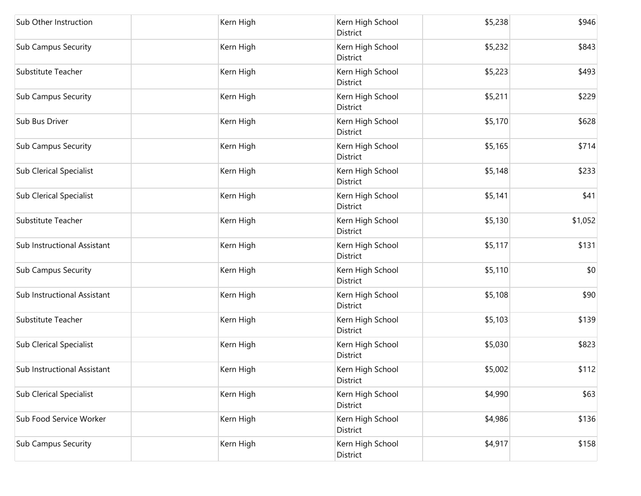| Sub Other Instruction          | Kern High | Kern High School<br>District | \$5,238 | \$946   |
|--------------------------------|-----------|------------------------------|---------|---------|
| <b>Sub Campus Security</b>     | Kern High | Kern High School<br>District | \$5,232 | \$843   |
| Substitute Teacher             | Kern High | Kern High School<br>District | \$5,223 | \$493   |
| <b>Sub Campus Security</b>     | Kern High | Kern High School<br>District | \$5,211 | \$229   |
| Sub Bus Driver                 | Kern High | Kern High School<br>District | \$5,170 | \$628   |
| <b>Sub Campus Security</b>     | Kern High | Kern High School<br>District | \$5,165 | \$714   |
| <b>Sub Clerical Specialist</b> | Kern High | Kern High School<br>District | \$5,148 | \$233   |
| <b>Sub Clerical Specialist</b> | Kern High | Kern High School<br>District | \$5,141 | \$41    |
| Substitute Teacher             | Kern High | Kern High School<br>District | \$5,130 | \$1,052 |
| Sub Instructional Assistant    | Kern High | Kern High School<br>District | \$5,117 | \$131   |
| <b>Sub Campus Security</b>     | Kern High | Kern High School<br>District | \$5,110 | \$0     |
| Sub Instructional Assistant    | Kern High | Kern High School<br>District | \$5,108 | \$90    |
| Substitute Teacher             | Kern High | Kern High School<br>District | \$5,103 | \$139   |
| <b>Sub Clerical Specialist</b> | Kern High | Kern High School<br>District | \$5,030 | \$823   |
| Sub Instructional Assistant    | Kern High | Kern High School<br>District | \$5,002 | \$112   |
| <b>Sub Clerical Specialist</b> | Kern High | Kern High School<br>District | \$4,990 | \$63    |
| Sub Food Service Worker        | Kern High | Kern High School<br>District | \$4,986 | \$136   |
| <b>Sub Campus Security</b>     | Kern High | Kern High School<br>District | \$4,917 | \$158   |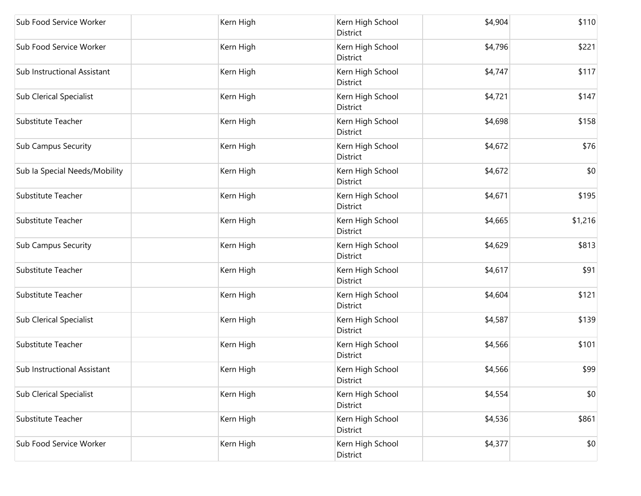| Sub Food Service Worker        | Kern High | Kern High School<br>District | \$4,904 | \$110   |
|--------------------------------|-----------|------------------------------|---------|---------|
| Sub Food Service Worker        | Kern High | Kern High School<br>District | \$4,796 | \$221   |
| Sub Instructional Assistant    | Kern High | Kern High School<br>District | \$4,747 | \$117   |
| <b>Sub Clerical Specialist</b> | Kern High | Kern High School<br>District | \$4,721 | \$147   |
| <b>Substitute Teacher</b>      | Kern High | Kern High School<br>District | \$4,698 | \$158   |
| <b>Sub Campus Security</b>     | Kern High | Kern High School<br>District | \$4,672 | \$76    |
| Sub la Special Needs/Mobility  | Kern High | Kern High School<br>District | \$4,672 | \$0     |
| Substitute Teacher             | Kern High | Kern High School<br>District | \$4,671 | \$195   |
| Substitute Teacher             | Kern High | Kern High School<br>District | \$4,665 | \$1,216 |
| <b>Sub Campus Security</b>     | Kern High | Kern High School<br>District | \$4,629 | \$813   |
| Substitute Teacher             | Kern High | Kern High School<br>District | \$4,617 | \$91    |
| Substitute Teacher             | Kern High | Kern High School<br>District | \$4,604 | \$121   |
| <b>Sub Clerical Specialist</b> | Kern High | Kern High School<br>District | \$4,587 | \$139   |
| Substitute Teacher             | Kern High | Kern High School<br>District | \$4,566 | \$101   |
| Sub Instructional Assistant    | Kern High | Kern High School<br>District | \$4,566 | \$99    |
| <b>Sub Clerical Specialist</b> | Kern High | Kern High School<br>District | \$4,554 | \$0     |
| Substitute Teacher             | Kern High | Kern High School<br>District | \$4,536 | \$861   |
| Sub Food Service Worker        | Kern High | Kern High School<br>District | \$4,377 | \$0     |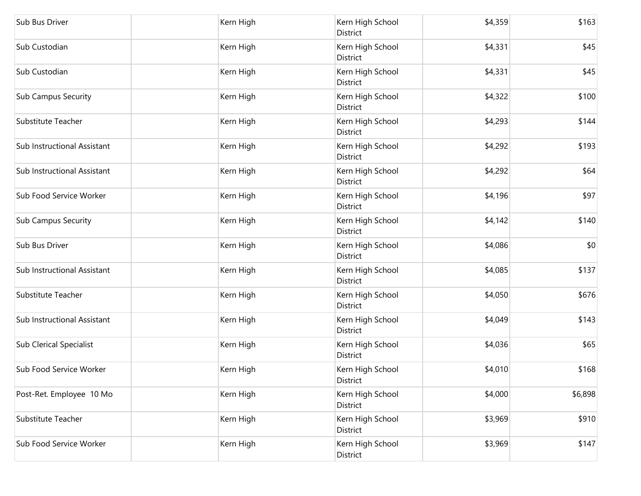| Sub Bus Driver                 | Kern High | Kern High School<br>District | \$4,359 | \$163   |
|--------------------------------|-----------|------------------------------|---------|---------|
| Sub Custodian                  | Kern High | Kern High School<br>District | \$4,331 | \$45    |
| Sub Custodian                  | Kern High | Kern High School<br>District | \$4,331 | \$45    |
| <b>Sub Campus Security</b>     | Kern High | Kern High School<br>District | \$4,322 | \$100   |
| Substitute Teacher             | Kern High | Kern High School<br>District | \$4,293 | \$144   |
| Sub Instructional Assistant    | Kern High | Kern High School<br>District | \$4,292 | \$193   |
| Sub Instructional Assistant    | Kern High | Kern High School<br>District | \$4,292 | \$64    |
| Sub Food Service Worker        | Kern High | Kern High School<br>District | \$4,196 | \$97    |
| <b>Sub Campus Security</b>     | Kern High | Kern High School<br>District | \$4,142 | \$140   |
| Sub Bus Driver                 | Kern High | Kern High School<br>District | \$4,086 | \$0     |
| Sub Instructional Assistant    | Kern High | Kern High School<br>District | \$4,085 | \$137   |
| Substitute Teacher             | Kern High | Kern High School<br>District | \$4,050 | \$676   |
| Sub Instructional Assistant    | Kern High | Kern High School<br>District | \$4,049 | \$143   |
| <b>Sub Clerical Specialist</b> | Kern High | Kern High School<br>District | \$4,036 | \$65    |
| Sub Food Service Worker        | Kern High | Kern High School<br>District | \$4,010 | \$168   |
| Post-Ret. Employee 10 Mo       | Kern High | Kern High School<br>District | \$4,000 | \$6,898 |
| Substitute Teacher             | Kern High | Kern High School<br>District | \$3,969 | \$910   |
| Sub Food Service Worker        | Kern High | Kern High School<br>District | \$3,969 | \$147   |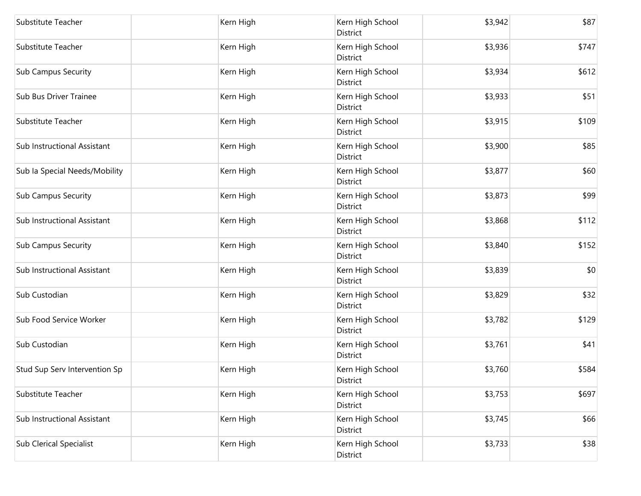| Substitute Teacher             | Kern High | Kern High School<br>District | \$3,942 | \$87  |
|--------------------------------|-----------|------------------------------|---------|-------|
| Substitute Teacher             | Kern High | Kern High School<br>District | \$3,936 | \$747 |
| <b>Sub Campus Security</b>     | Kern High | Kern High School<br>District | \$3,934 | \$612 |
| Sub Bus Driver Trainee         | Kern High | Kern High School<br>District | \$3,933 | \$51  |
| Substitute Teacher             | Kern High | Kern High School<br>District | \$3,915 | \$109 |
| Sub Instructional Assistant    | Kern High | Kern High School<br>District | \$3,900 | \$85  |
| Sub la Special Needs/Mobility  | Kern High | Kern High School<br>District | \$3,877 | \$60  |
| <b>Sub Campus Security</b>     | Kern High | Kern High School<br>District | \$3,873 | \$99  |
| Sub Instructional Assistant    | Kern High | Kern High School<br>District | \$3,868 | \$112 |
| <b>Sub Campus Security</b>     | Kern High | Kern High School<br>District | \$3,840 | \$152 |
| Sub Instructional Assistant    | Kern High | Kern High School<br>District | \$3,839 | \$0   |
| Sub Custodian                  | Kern High | Kern High School<br>District | \$3,829 | \$32  |
| Sub Food Service Worker        | Kern High | Kern High School<br>District | \$3,782 | \$129 |
| Sub Custodian                  | Kern High | Kern High School<br>District | \$3,761 | \$41  |
| Stud Sup Serv Intervention Sp  | Kern High | Kern High School<br>District | \$3,760 | \$584 |
| Substitute Teacher             | Kern High | Kern High School<br>District | \$3,753 | \$697 |
| Sub Instructional Assistant    | Kern High | Kern High School<br>District | \$3,745 | \$66  |
| <b>Sub Clerical Specialist</b> | Kern High | Kern High School<br>District | \$3,733 | \$38  |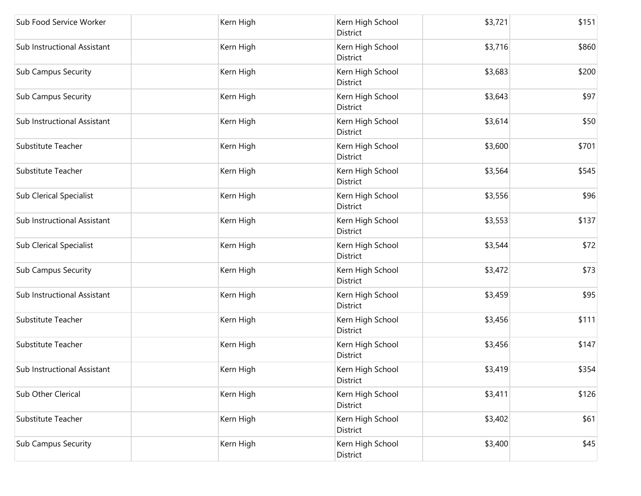| Sub Food Service Worker        | Kern High | Kern High School<br>District | \$3,721 | \$151 |
|--------------------------------|-----------|------------------------------|---------|-------|
| Sub Instructional Assistant    | Kern High | Kern High School<br>District | \$3,716 | \$860 |
| <b>Sub Campus Security</b>     | Kern High | Kern High School<br>District | \$3,683 | \$200 |
| <b>Sub Campus Security</b>     | Kern High | Kern High School<br>District | \$3,643 | \$97  |
| Sub Instructional Assistant    | Kern High | Kern High School<br>District | \$3,614 | \$50  |
| Substitute Teacher             | Kern High | Kern High School<br>District | \$3,600 | \$701 |
| Substitute Teacher             | Kern High | Kern High School<br>District | \$3,564 | \$545 |
| <b>Sub Clerical Specialist</b> | Kern High | Kern High School<br>District | \$3,556 | \$96  |
| Sub Instructional Assistant    | Kern High | Kern High School<br>District | \$3,553 | \$137 |
| <b>Sub Clerical Specialist</b> | Kern High | Kern High School<br>District | \$3,544 | \$72  |
| <b>Sub Campus Security</b>     | Kern High | Kern High School<br>District | \$3,472 | \$73  |
| Sub Instructional Assistant    | Kern High | Kern High School<br>District | \$3,459 | \$95  |
| Substitute Teacher             | Kern High | Kern High School<br>District | \$3,456 | \$111 |
| Substitute Teacher             | Kern High | Kern High School<br>District | \$3,456 | \$147 |
| Sub Instructional Assistant    | Kern High | Kern High School<br>District | \$3,419 | \$354 |
| Sub Other Clerical             | Kern High | Kern High School<br>District | \$3,411 | \$126 |
| Substitute Teacher             | Kern High | Kern High School<br>District | \$3,402 | \$61  |
| <b>Sub Campus Security</b>     | Kern High | Kern High School<br>District | \$3,400 | \$45  |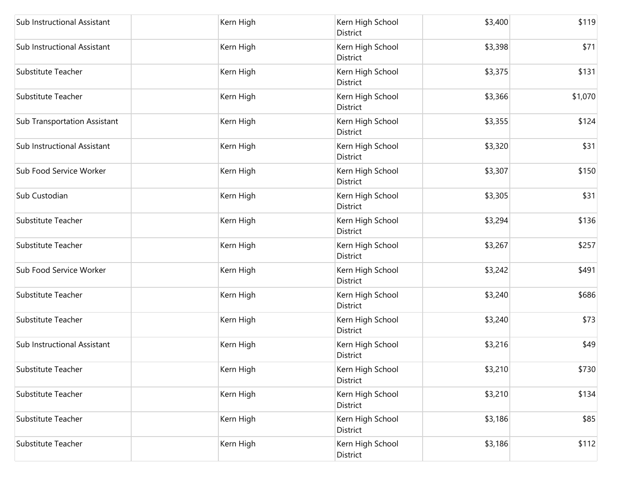| Sub Instructional Assistant         | Kern High | Kern High School<br>District        | \$3,400 | \$119   |
|-------------------------------------|-----------|-------------------------------------|---------|---------|
| Sub Instructional Assistant         | Kern High | Kern High School<br>District        | \$3,398 | \$71    |
| Substitute Teacher                  | Kern High | Kern High School<br>District        | \$3,375 | \$131   |
| Substitute Teacher                  | Kern High | Kern High School<br><b>District</b> | \$3,366 | \$1,070 |
| <b>Sub Transportation Assistant</b> | Kern High | Kern High School<br><b>District</b> | \$3,355 | \$124   |
| Sub Instructional Assistant         | Kern High | Kern High School<br>District        | \$3,320 | \$31    |
| Sub Food Service Worker             | Kern High | Kern High School<br>District        | \$3,307 | \$150   |
| Sub Custodian                       | Kern High | Kern High School<br>District        | \$3,305 | \$31    |
| <b>Substitute Teacher</b>           | Kern High | Kern High School<br>District        | \$3,294 | \$136   |
| Substitute Teacher                  | Kern High | Kern High School<br>District        | \$3,267 | \$257   |
| Sub Food Service Worker             | Kern High | Kern High School<br>District        | \$3,242 | \$491   |
| Substitute Teacher                  | Kern High | Kern High School<br>District        | \$3,240 | \$686   |
| Substitute Teacher                  | Kern High | Kern High School<br>District        | \$3,240 | \$73    |
| Sub Instructional Assistant         | Kern High | Kern High School<br>District        | \$3,216 | \$49    |
| Substitute Teacher                  | Kern High | Kern High School<br>District        | \$3,210 | \$730   |
| Substitute Teacher                  | Kern High | Kern High School<br>District        | \$3,210 | \$134   |
| Substitute Teacher                  | Kern High | Kern High School<br>District        | \$3,186 | \$85    |
| Substitute Teacher                  | Kern High | Kern High School<br>District        | \$3,186 | \$112   |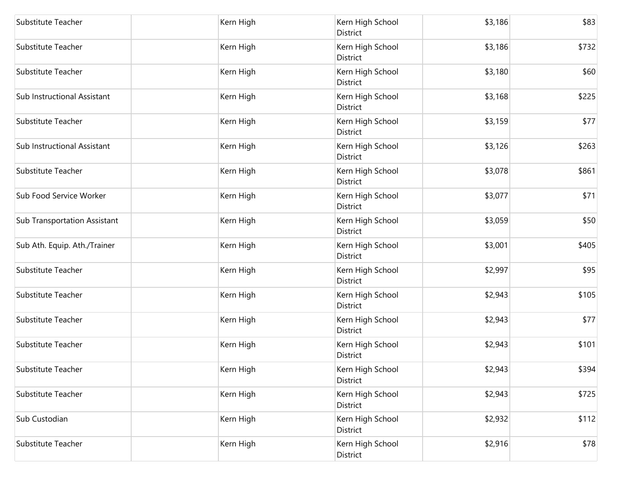| Substitute Teacher                  | Kern High | Kern High School<br>District | \$3,186 | \$83  |
|-------------------------------------|-----------|------------------------------|---------|-------|
| Substitute Teacher                  | Kern High | Kern High School<br>District | \$3,186 | \$732 |
| Substitute Teacher                  | Kern High | Kern High School<br>District | \$3,180 | \$60  |
| Sub Instructional Assistant         | Kern High | Kern High School<br>District | \$3,168 | \$225 |
| Substitute Teacher                  | Kern High | Kern High School<br>District | \$3,159 | \$77  |
| Sub Instructional Assistant         | Kern High | Kern High School<br>District | \$3,126 | \$263 |
| Substitute Teacher                  | Kern High | Kern High School<br>District | \$3,078 | \$861 |
| Sub Food Service Worker             | Kern High | Kern High School<br>District | \$3,077 | \$71  |
| <b>Sub Transportation Assistant</b> | Kern High | Kern High School<br>District | \$3,059 | \$50  |
| Sub Ath. Equip. Ath./Trainer        | Kern High | Kern High School<br>District | \$3,001 | \$405 |
| Substitute Teacher                  | Kern High | Kern High School<br>District | \$2,997 | \$95  |
| Substitute Teacher                  | Kern High | Kern High School<br>District | \$2,943 | \$105 |
| Substitute Teacher                  | Kern High | Kern High School<br>District | \$2,943 | \$77  |
| Substitute Teacher                  | Kern High | Kern High School<br>District | \$2,943 | \$101 |
| Substitute Teacher                  | Kern High | Kern High School<br>District | \$2,943 | \$394 |
| Substitute Teacher                  | Kern High | Kern High School<br>District | \$2,943 | \$725 |
| Sub Custodian                       | Kern High | Kern High School<br>District | \$2,932 | \$112 |
| Substitute Teacher                  | Kern High | Kern High School<br>District | \$2,916 | \$78  |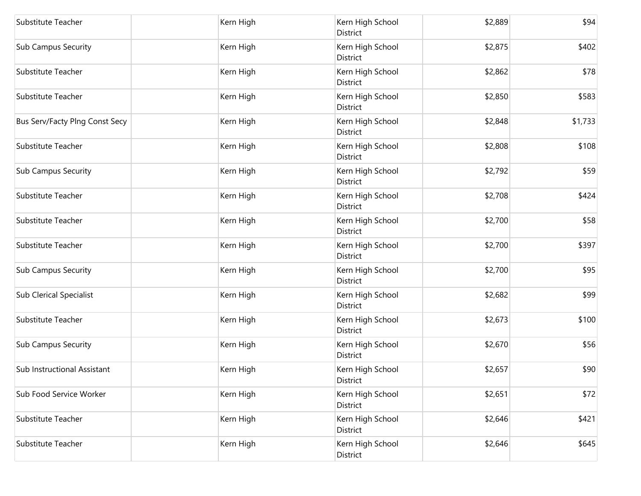| Substitute Teacher             | Kern High | Kern High School<br>District        | \$2,889 | \$94    |
|--------------------------------|-----------|-------------------------------------|---------|---------|
| <b>Sub Campus Security</b>     | Kern High | Kern High School<br>District        | \$2,875 | \$402   |
| Substitute Teacher             | Kern High | Kern High School<br>District        | \$2,862 | \$78    |
| Substitute Teacher             | Kern High | Kern High School<br><b>District</b> | \$2,850 | \$583   |
| Bus Serv/Facty Plng Const Secy | Kern High | Kern High School<br><b>District</b> | \$2,848 | \$1,733 |
| Substitute Teacher             | Kern High | Kern High School<br>District        | \$2,808 | \$108   |
| <b>Sub Campus Security</b>     | Kern High | Kern High School<br>District        | \$2,792 | \$59    |
| Substitute Teacher             | Kern High | Kern High School<br>District        | \$2,708 | \$424   |
| Substitute Teacher             | Kern High | Kern High School<br>District        | \$2,700 | \$58    |
| Substitute Teacher             | Kern High | Kern High School<br>District        | \$2,700 | \$397   |
| <b>Sub Campus Security</b>     | Kern High | Kern High School<br>District        | \$2,700 | \$95    |
| <b>Sub Clerical Specialist</b> | Kern High | Kern High School<br>District        | \$2,682 | \$99    |
| Substitute Teacher             | Kern High | Kern High School<br>District        | \$2,673 | \$100   |
| <b>Sub Campus Security</b>     | Kern High | Kern High School<br>District        | \$2,670 | \$56    |
| Sub Instructional Assistant    | Kern High | Kern High School<br>District        | \$2,657 | \$90    |
| Sub Food Service Worker        | Kern High | Kern High School<br>District        | \$2,651 | \$72    |
| Substitute Teacher             | Kern High | Kern High School<br>District        | \$2,646 | \$421   |
| Substitute Teacher             | Kern High | Kern High School<br>District        | \$2,646 | \$645   |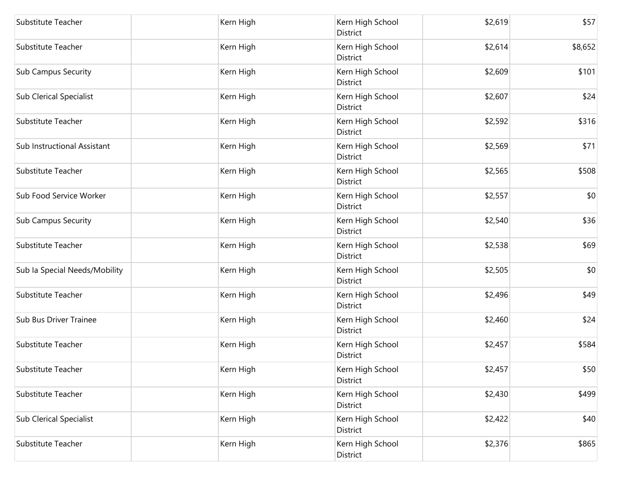| Substitute Teacher             | Kern High | Kern High School<br>District | \$2,619 | \$57    |
|--------------------------------|-----------|------------------------------|---------|---------|
| Substitute Teacher             | Kern High | Kern High School<br>District | \$2,614 | \$8,652 |
| <b>Sub Campus Security</b>     | Kern High | Kern High School<br>District | \$2,609 | \$101   |
| <b>Sub Clerical Specialist</b> | Kern High | Kern High School<br>District | \$2,607 | \$24    |
| Substitute Teacher             | Kern High | Kern High School<br>District | \$2,592 | \$316   |
| Sub Instructional Assistant    | Kern High | Kern High School<br>District | \$2,569 | \$71    |
| Substitute Teacher             | Kern High | Kern High School<br>District | \$2,565 | \$508   |
| Sub Food Service Worker        | Kern High | Kern High School<br>District | \$2,557 | \$0     |
| <b>Sub Campus Security</b>     | Kern High | Kern High School<br>District | \$2,540 | \$36    |
| Substitute Teacher             | Kern High | Kern High School<br>District | \$2,538 | \$69    |
| Sub la Special Needs/Mobility  | Kern High | Kern High School<br>District | \$2,505 | \$0     |
| Substitute Teacher             | Kern High | Kern High School<br>District | \$2,496 | \$49    |
| Sub Bus Driver Trainee         | Kern High | Kern High School<br>District | \$2,460 | \$24    |
| Substitute Teacher             | Kern High | Kern High School<br>District | \$2,457 | \$584   |
| Substitute Teacher             | Kern High | Kern High School<br>District | \$2,457 | \$50    |
| Substitute Teacher             | Kern High | Kern High School<br>District | \$2,430 | \$499   |
| Sub Clerical Specialist        | Kern High | Kern High School<br>District | \$2,422 | \$40    |
| Substitute Teacher             | Kern High | Kern High School<br>District | \$2,376 | \$865   |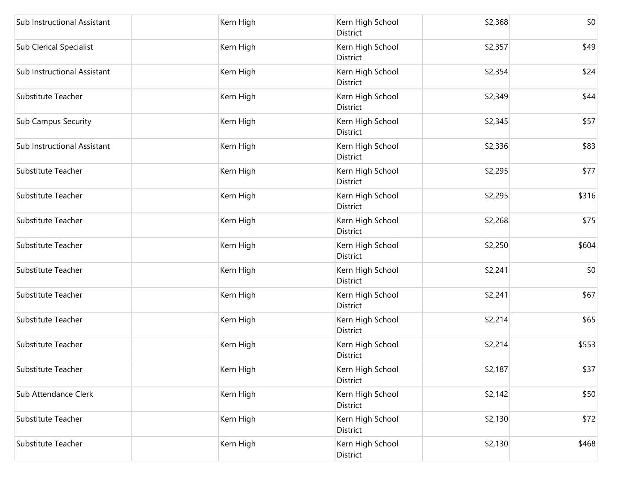| Sub Instructional Assistant    | Kern High | Kern High School<br>District | \$2,368 | \$0   |
|--------------------------------|-----------|------------------------------|---------|-------|
| <b>Sub Clerical Specialist</b> | Kern High | Kern High School<br>District | \$2,357 | \$49  |
| Sub Instructional Assistant    | Kern High | Kern High School<br>District | \$2,354 | \$24  |
| Substitute Teacher             | Kern High | Kern High School<br>District | \$2,349 | \$44  |
| Sub Campus Security            | Kern High | Kern High School<br>District | \$2,345 | \$57  |
| Sub Instructional Assistant    | Kern High | Kern High School<br>District | \$2,336 | \$83  |
| Substitute Teacher             | Kern High | Kern High School<br>District | \$2,295 | \$77  |
| Substitute Teacher             | Kern High | Kern High School<br>District | \$2,295 | \$316 |
| Substitute Teacher             | Kern High | Kern High School<br>District | \$2,268 | \$75  |
| Substitute Teacher             | Kern High | Kern High School<br>District | \$2,250 | \$604 |
| Substitute Teacher             | Kern High | Kern High School<br>District | \$2,241 | \$0   |
| Substitute Teacher             | Kern High | Kern High School<br>District | \$2,241 | \$67  |
| Substitute Teacher             | Kern High | Kern High School<br>District | \$2,214 | \$65  |
| Substitute Teacher             | Kern High | Kern High School<br>District | \$2,214 | \$553 |
| Substitute Teacher             | Kern High | Kern High School<br>District | \$2,187 | \$37  |
| Sub Attendance Clerk           | Kern High | Kern High School<br>District | \$2,142 | \$50  |
| Substitute Teacher             | Kern High | Kern High School<br>District | \$2,130 | \$72  |
| Substitute Teacher             | Kern High | Kern High School<br>District | \$2,130 | \$468 |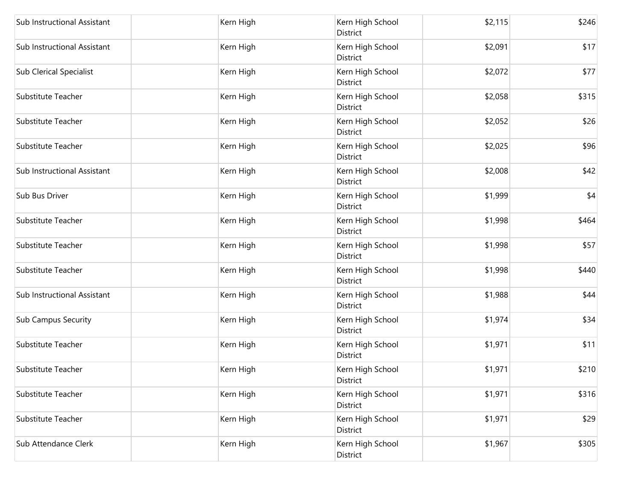| Sub Instructional Assistant    | Kern High | Kern High School<br>District | \$2,115 | \$246 |
|--------------------------------|-----------|------------------------------|---------|-------|
| Sub Instructional Assistant    | Kern High | Kern High School<br>District | \$2,091 | \$17  |
| <b>Sub Clerical Specialist</b> | Kern High | Kern High School<br>District | \$2,072 | \$77  |
| Substitute Teacher             | Kern High | Kern High School<br>District | \$2,058 | \$315 |
| Substitute Teacher             | Kern High | Kern High School<br>District | \$2,052 | \$26  |
| Substitute Teacher             | Kern High | Kern High School<br>District | \$2,025 | \$96  |
| Sub Instructional Assistant    | Kern High | Kern High School<br>District | \$2,008 | \$42  |
| Sub Bus Driver                 | Kern High | Kern High School<br>District | \$1,999 | \$4   |
| Substitute Teacher             | Kern High | Kern High School<br>District | \$1,998 | \$464 |
| Substitute Teacher             | Kern High | Kern High School<br>District | \$1,998 | \$57  |
| Substitute Teacher             | Kern High | Kern High School<br>District | \$1,998 | \$440 |
| Sub Instructional Assistant    | Kern High | Kern High School<br>District | \$1,988 | \$44  |
| <b>Sub Campus Security</b>     | Kern High | Kern High School<br>District | \$1,974 | \$34  |
| Substitute Teacher             | Kern High | Kern High School<br>District | \$1,971 | \$11  |
| Substitute Teacher             | Kern High | Kern High School<br>District | \$1,971 | \$210 |
| Substitute Teacher             | Kern High | Kern High School<br>District | \$1,971 | \$316 |
| Substitute Teacher             | Kern High | Kern High School<br>District | \$1,971 | \$29  |
| Sub Attendance Clerk           | Kern High | Kern High School<br>District | \$1,967 | \$305 |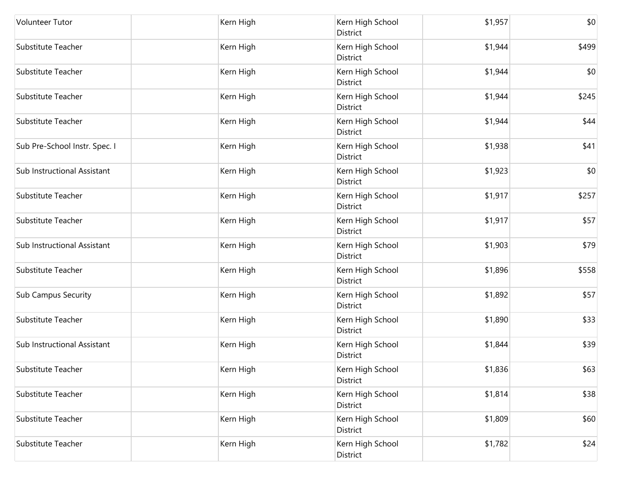| <b>Volunteer Tutor</b>        | Kern High | Kern High School<br>District | \$1,957 | \$0   |
|-------------------------------|-----------|------------------------------|---------|-------|
| Substitute Teacher            | Kern High | Kern High School<br>District | \$1,944 | \$499 |
| Substitute Teacher            | Kern High | Kern High School<br>District | \$1,944 | \$0   |
| Substitute Teacher            | Kern High | Kern High School<br>District | \$1,944 | \$245 |
| Substitute Teacher            | Kern High | Kern High School<br>District | \$1,944 | \$44  |
| Sub Pre-School Instr. Spec. I | Kern High | Kern High School<br>District | \$1,938 | \$41  |
| Sub Instructional Assistant   | Kern High | Kern High School<br>District | \$1,923 | \$0   |
| Substitute Teacher            | Kern High | Kern High School<br>District | \$1,917 | \$257 |
| Substitute Teacher            | Kern High | Kern High School<br>District | \$1,917 | \$57  |
| Sub Instructional Assistant   | Kern High | Kern High School<br>District | \$1,903 | \$79  |
| Substitute Teacher            | Kern High | Kern High School<br>District | \$1,896 | \$558 |
| <b>Sub Campus Security</b>    | Kern High | Kern High School<br>District | \$1,892 | \$57  |
| Substitute Teacher            | Kern High | Kern High School<br>District | \$1,890 | \$33  |
| Sub Instructional Assistant   | Kern High | Kern High School<br>District | \$1,844 | \$39  |
| Substitute Teacher            | Kern High | Kern High School<br>District | \$1,836 | \$63  |
| Substitute Teacher            | Kern High | Kern High School<br>District | \$1,814 | \$38  |
| Substitute Teacher            | Kern High | Kern High School<br>District | \$1,809 | \$60  |
| Substitute Teacher            | Kern High | Kern High School<br>District | \$1,782 | \$24  |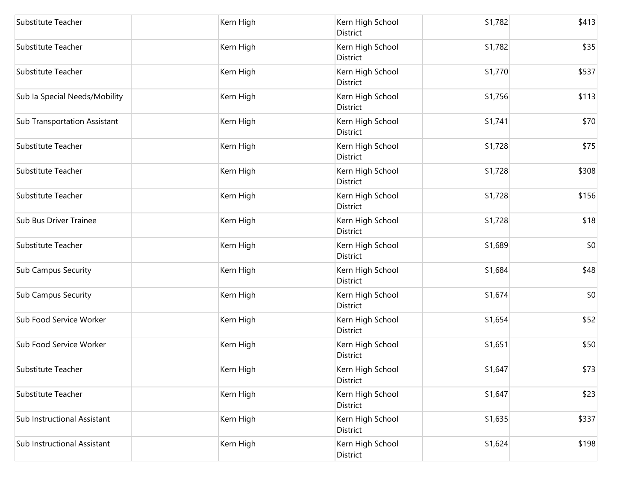| Substitute Teacher                  | Kern High | Kern High School<br>District        | \$1,782 | \$413 |
|-------------------------------------|-----------|-------------------------------------|---------|-------|
| Substitute Teacher                  | Kern High | Kern High School<br>District        | \$1,782 | \$35  |
| Substitute Teacher                  | Kern High | Kern High School<br>District        | \$1,770 | \$537 |
| Sub la Special Needs/Mobility       | Kern High | Kern High School<br>District        | \$1,756 | \$113 |
| <b>Sub Transportation Assistant</b> | Kern High | Kern High School<br><b>District</b> | \$1,741 | \$70  |
| Substitute Teacher                  | Kern High | Kern High School<br>District        | \$1,728 | \$75  |
| Substitute Teacher                  | Kern High | Kern High School<br>District        | \$1,728 | \$308 |
| Substitute Teacher                  | Kern High | Kern High School<br>District        | \$1,728 | \$156 |
| Sub Bus Driver Trainee              | Kern High | Kern High School<br>District        | \$1,728 | \$18  |
| Substitute Teacher                  | Kern High | Kern High School<br>District        | \$1,689 | \$0   |
| <b>Sub Campus Security</b>          | Kern High | Kern High School<br>District        | \$1,684 | \$48  |
| <b>Sub Campus Security</b>          | Kern High | Kern High School<br>District        | \$1,674 | \$0   |
| Sub Food Service Worker             | Kern High | Kern High School<br>District        | \$1,654 | \$52  |
| Sub Food Service Worker             | Kern High | Kern High School<br>District        | \$1,651 | \$50  |
| Substitute Teacher                  | Kern High | Kern High School<br>District        | \$1,647 | \$73  |
| Substitute Teacher                  | Kern High | Kern High School<br>District        | \$1,647 | \$23  |
| Sub Instructional Assistant         | Kern High | Kern High School<br>District        | \$1,635 | \$337 |
| Sub Instructional Assistant         | Kern High | Kern High School<br>District        | \$1,624 | \$198 |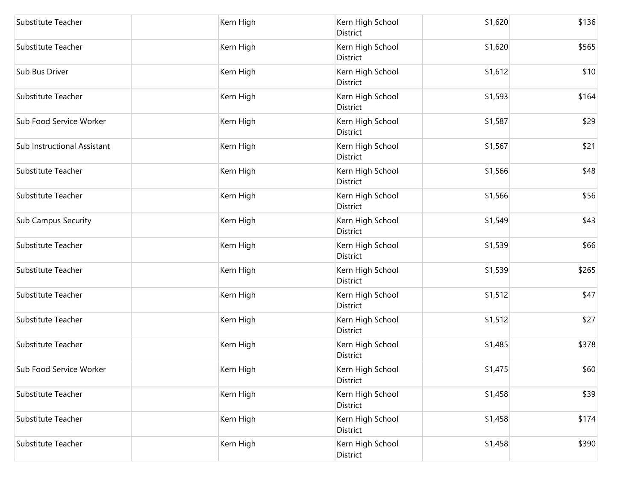| Substitute Teacher          | Kern High | Kern High School<br>District | \$1,620 | \$136 |
|-----------------------------|-----------|------------------------------|---------|-------|
| Substitute Teacher          | Kern High | Kern High School<br>District | \$1,620 | \$565 |
| Sub Bus Driver              | Kern High | Kern High School<br>District | \$1,612 | \$10  |
| Substitute Teacher          | Kern High | Kern High School<br>District | \$1,593 | \$164 |
| Sub Food Service Worker     | Kern High | Kern High School<br>District | \$1,587 | \$29  |
| Sub Instructional Assistant | Kern High | Kern High School<br>District | \$1,567 | \$21  |
| Substitute Teacher          | Kern High | Kern High School<br>District | \$1,566 | \$48  |
| Substitute Teacher          | Kern High | Kern High School<br>District | \$1,566 | \$56  |
| <b>Sub Campus Security</b>  | Kern High | Kern High School<br>District | \$1,549 | \$43  |
| Substitute Teacher          | Kern High | Kern High School<br>District | \$1,539 | \$66  |
| Substitute Teacher          | Kern High | Kern High School<br>District | \$1,539 | \$265 |
| Substitute Teacher          | Kern High | Kern High School<br>District | \$1,512 | \$47  |
| Substitute Teacher          | Kern High | Kern High School<br>District | \$1,512 | \$27  |
| Substitute Teacher          | Kern High | Kern High School<br>District | \$1,485 | \$378 |
| Sub Food Service Worker     | Kern High | Kern High School<br>District | \$1,475 | \$60  |
| Substitute Teacher          | Kern High | Kern High School<br>District | \$1,458 | \$39  |
| Substitute Teacher          | Kern High | Kern High School<br>District | \$1,458 | \$174 |
| Substitute Teacher          | Kern High | Kern High School<br>District | \$1,458 | \$390 |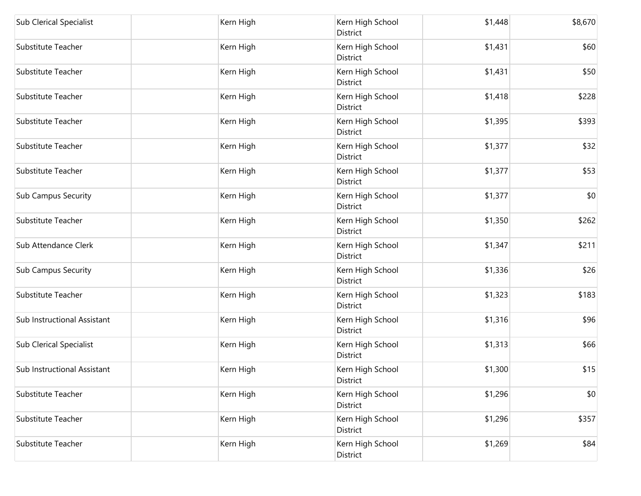| <b>Sub Clerical Specialist</b> | Kern High | Kern High School<br>District        | \$1,448 | \$8,670 |
|--------------------------------|-----------|-------------------------------------|---------|---------|
| Substitute Teacher             | Kern High | Kern High School<br>District        | \$1,431 | \$60    |
| Substitute Teacher             | Kern High | Kern High School<br>District        | \$1,431 | \$50    |
| Substitute Teacher             | Kern High | Kern High School<br>District        | \$1,418 | \$228   |
| Substitute Teacher             | Kern High | Kern High School<br>District        | \$1,395 | \$393   |
| Substitute Teacher             | Kern High | Kern High School<br>District        | \$1,377 | \$32    |
| Substitute Teacher             | Kern High | Kern High School<br>District        | \$1,377 | \$53    |
| <b>Sub Campus Security</b>     | Kern High | Kern High School<br>District        | \$1,377 | \$0     |
| Substitute Teacher             | Kern High | Kern High School<br>District        | \$1,350 | \$262   |
| Sub Attendance Clerk           | Kern High | Kern High School<br>District        | \$1,347 | \$211   |
| <b>Sub Campus Security</b>     | Kern High | Kern High School<br>District        | \$1,336 | \$26    |
| Substitute Teacher             | Kern High | Kern High School<br>District        | \$1,323 | \$183   |
| Sub Instructional Assistant    | Kern High | Kern High School<br><b>District</b> | \$1,316 | \$96    |
| <b>Sub Clerical Specialist</b> | Kern High | Kern High School<br>District        | \$1,313 | \$66    |
| Sub Instructional Assistant    | Kern High | Kern High School<br>District        | \$1,300 | \$15    |
| Substitute Teacher             | Kern High | Kern High School<br>District        | \$1,296 | \$0     |
| Substitute Teacher             | Kern High | Kern High School<br>District        | \$1,296 | \$357   |
| Substitute Teacher             | Kern High | Kern High School<br>District        | \$1,269 | \$84    |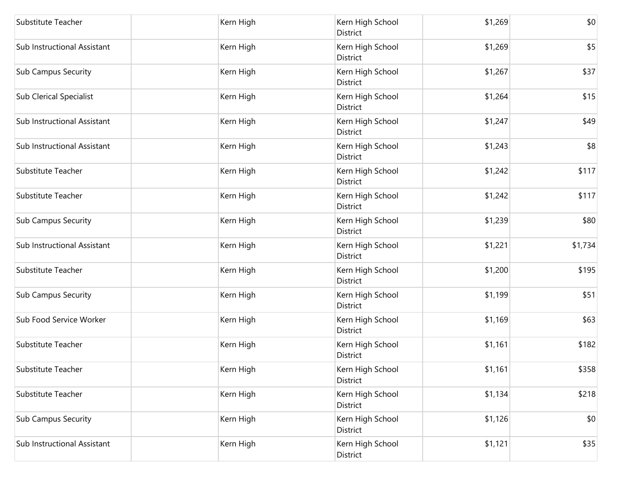| Substitute Teacher             | Kern High | Kern High School<br>District | \$1,269 | \$0     |
|--------------------------------|-----------|------------------------------|---------|---------|
| Sub Instructional Assistant    | Kern High | Kern High School<br>District | \$1,269 | \$5     |
| <b>Sub Campus Security</b>     | Kern High | Kern High School<br>District | \$1,267 | \$37    |
| <b>Sub Clerical Specialist</b> | Kern High | Kern High School<br>District | \$1,264 | \$15    |
| Sub Instructional Assistant    | Kern High | Kern High School<br>District | \$1,247 | \$49    |
| Sub Instructional Assistant    | Kern High | Kern High School<br>District | \$1,243 | \$8     |
| Substitute Teacher             | Kern High | Kern High School<br>District | \$1,242 | \$117   |
| Substitute Teacher             | Kern High | Kern High School<br>District | \$1,242 | \$117   |
| <b>Sub Campus Security</b>     | Kern High | Kern High School<br>District | \$1,239 | \$80    |
| Sub Instructional Assistant    | Kern High | Kern High School<br>District | \$1,221 | \$1,734 |
| Substitute Teacher             | Kern High | Kern High School<br>District | \$1,200 | \$195   |
| <b>Sub Campus Security</b>     | Kern High | Kern High School<br>District | \$1,199 | \$51    |
| Sub Food Service Worker        | Kern High | Kern High School<br>District | \$1,169 | \$63    |
| Substitute Teacher             | Kern High | Kern High School<br>District | \$1,161 | \$182   |
| Substitute Teacher             | Kern High | Kern High School<br>District | \$1,161 | \$358   |
| Substitute Teacher             | Kern High | Kern High School<br>District | \$1,134 | \$218   |
| <b>Sub Campus Security</b>     | Kern High | Kern High School<br>District | \$1,126 | \$0     |
| Sub Instructional Assistant    | Kern High | Kern High School<br>District | \$1,121 | \$35    |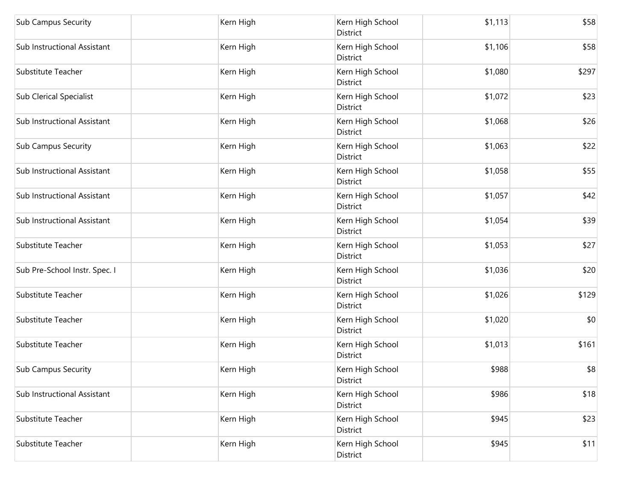| <b>Sub Campus Security</b>     | Kern High | Kern High School<br>District        | \$1,113 | \$58  |
|--------------------------------|-----------|-------------------------------------|---------|-------|
| Sub Instructional Assistant    | Kern High | Kern High School<br>District        | \$1,106 | \$58  |
| Substitute Teacher             | Kern High | Kern High School<br>District        | \$1,080 | \$297 |
| <b>Sub Clerical Specialist</b> | Kern High | Kern High School<br><b>District</b> | \$1,072 | \$23  |
| Sub Instructional Assistant    | Kern High | Kern High School<br>District        | \$1,068 | \$26  |
| <b>Sub Campus Security</b>     | Kern High | Kern High School<br>District        | \$1,063 | \$22  |
| Sub Instructional Assistant    | Kern High | Kern High School<br>District        | \$1,058 | \$55  |
| Sub Instructional Assistant    | Kern High | Kern High School<br><b>District</b> | \$1,057 | \$42  |
| Sub Instructional Assistant    | Kern High | Kern High School<br>District        | \$1,054 | \$39  |
| Substitute Teacher             | Kern High | Kern High School<br>District        | \$1,053 | \$27  |
| Sub Pre-School Instr. Spec. I  | Kern High | Kern High School<br>District        | \$1,036 | \$20  |
| Substitute Teacher             | Kern High | Kern High School<br>District        | \$1,026 | \$129 |
| Substitute Teacher             | Kern High | Kern High School<br>District        | \$1,020 | \$0   |
| Substitute Teacher             | Kern High | Kern High School<br>District        | \$1,013 | \$161 |
| <b>Sub Campus Security</b>     | Kern High | Kern High School<br>District        | \$988   | \$8   |
| Sub Instructional Assistant    | Kern High | Kern High School<br>District        | \$986   | \$18  |
| Substitute Teacher             | Kern High | Kern High School<br>District        | \$945   | \$23  |
| Substitute Teacher             | Kern High | Kern High School<br>District        | \$945   | \$11  |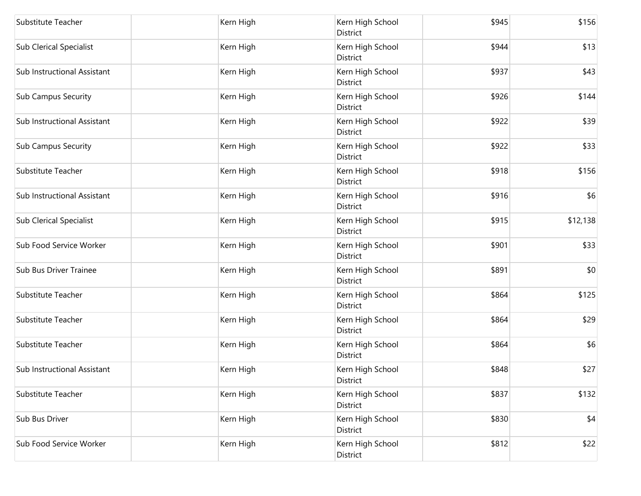| Substitute Teacher             | Kern High | Kern High School<br>District        | \$945 | \$156    |
|--------------------------------|-----------|-------------------------------------|-------|----------|
| <b>Sub Clerical Specialist</b> | Kern High | Kern High School<br>District        | \$944 | \$13     |
| Sub Instructional Assistant    | Kern High | Kern High School<br>District        | \$937 | \$43     |
| <b>Sub Campus Security</b>     | Kern High | Kern High School<br>District        | \$926 | \$144    |
| Sub Instructional Assistant    | Kern High | Kern High School<br>District        | \$922 | \$39     |
| <b>Sub Campus Security</b>     | Kern High | Kern High School<br>District        | \$922 | \$33     |
| Substitute Teacher             | Kern High | Kern High School<br>District        | \$918 | \$156    |
| Sub Instructional Assistant    | Kern High | Kern High School<br>District        | \$916 | \$6      |
| <b>Sub Clerical Specialist</b> | Kern High | Kern High School<br>District        | \$915 | \$12,138 |
| Sub Food Service Worker        | Kern High | Kern High School<br>District        | \$901 | \$33     |
| Sub Bus Driver Trainee         | Kern High | Kern High School<br>District        | \$891 | \$0      |
| Substitute Teacher             | Kern High | Kern High School<br>District        | \$864 | \$125    |
| Substitute Teacher             | Kern High | Kern High School<br><b>District</b> | \$864 | \$29     |
| Substitute Teacher             | Kern High | Kern High School<br><b>District</b> | \$864 | \$6      |
| Sub Instructional Assistant    | Kern High | Kern High School<br>District        | \$848 | \$27     |
| Substitute Teacher             | Kern High | Kern High School<br>District        | \$837 | \$132    |
| Sub Bus Driver                 | Kern High | Kern High School<br>District        | \$830 | \$4      |
| Sub Food Service Worker        | Kern High | Kern High School<br>District        | \$812 | \$22     |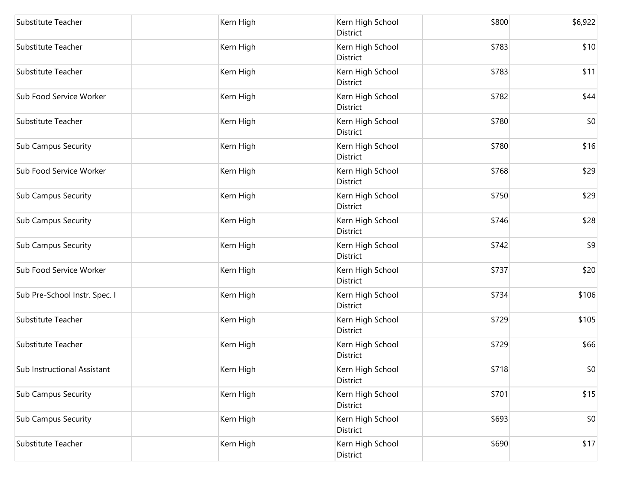| Substitute Teacher            | Kern High | Kern High School<br>District | \$800 | \$6,922 |
|-------------------------------|-----------|------------------------------|-------|---------|
| Substitute Teacher            | Kern High | Kern High School<br>District | \$783 | \$10    |
| Substitute Teacher            | Kern High | Kern High School<br>District | \$783 | \$11    |
| Sub Food Service Worker       | Kern High | Kern High School<br>District | \$782 | \$44    |
| Substitute Teacher            | Kern High | Kern High School<br>District | \$780 | \$0     |
| <b>Sub Campus Security</b>    | Kern High | Kern High School<br>District | \$780 | \$16    |
| Sub Food Service Worker       | Kern High | Kern High School<br>District | \$768 | \$29    |
| <b>Sub Campus Security</b>    | Kern High | Kern High School<br>District | \$750 | \$29    |
| <b>Sub Campus Security</b>    | Kern High | Kern High School<br>District | \$746 | \$28    |
| <b>Sub Campus Security</b>    | Kern High | Kern High School<br>District | \$742 | \$9     |
| Sub Food Service Worker       | Kern High | Kern High School<br>District | \$737 | \$20    |
| Sub Pre-School Instr. Spec. I | Kern High | Kern High School<br>District | \$734 | \$106   |
| Substitute Teacher            | Kern High | Kern High School<br>District | \$729 | \$105   |
| Substitute Teacher            | Kern High | Kern High School<br>District | \$729 | \$66    |
| Sub Instructional Assistant   | Kern High | Kern High School<br>District | \$718 | \$0     |
| <b>Sub Campus Security</b>    | Kern High | Kern High School<br>District | \$701 | \$15    |
| <b>Sub Campus Security</b>    | Kern High | Kern High School<br>District | \$693 | \$0     |
| Substitute Teacher            | Kern High | Kern High School<br>District | \$690 | \$17    |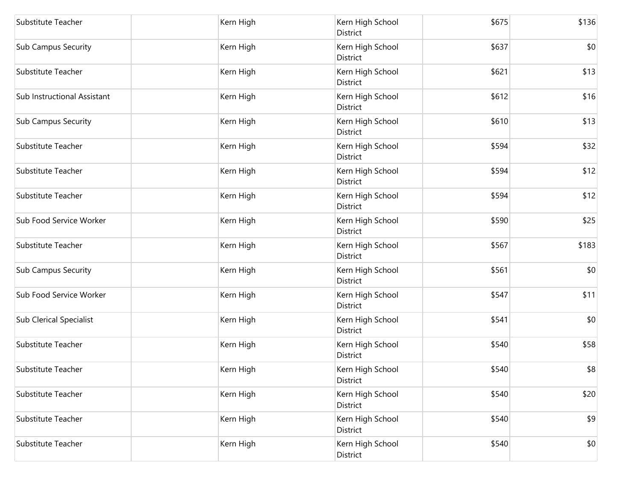| Substitute Teacher             | Kern High | Kern High School<br>District | \$675 | \$136 |
|--------------------------------|-----------|------------------------------|-------|-------|
| <b>Sub Campus Security</b>     | Kern High | Kern High School<br>District | \$637 | \$0   |
| Substitute Teacher             | Kern High | Kern High School<br>District | \$621 | \$13  |
| Sub Instructional Assistant    | Kern High | Kern High School<br>District | \$612 | \$16  |
| Sub Campus Security            | Kern High | Kern High School<br>District | \$610 | \$13  |
| Substitute Teacher             | Kern High | Kern High School<br>District | \$594 | \$32  |
| Substitute Teacher             | Kern High | Kern High School<br>District | \$594 | \$12  |
| Substitute Teacher             | Kern High | Kern High School<br>District | \$594 | \$12  |
| Sub Food Service Worker        | Kern High | Kern High School<br>District | \$590 | \$25  |
| Substitute Teacher             | Kern High | Kern High School<br>District | \$567 | \$183 |
| <b>Sub Campus Security</b>     | Kern High | Kern High School<br>District | \$561 | \$0   |
| Sub Food Service Worker        | Kern High | Kern High School<br>District | \$547 | \$11  |
| <b>Sub Clerical Specialist</b> | Kern High | Kern High School<br>District | \$541 | \$0   |
| Substitute Teacher             | Kern High | Kern High School<br>District | \$540 | \$58  |
| Substitute Teacher             | Kern High | Kern High School<br>District | \$540 | \$8   |
| Substitute Teacher             | Kern High | Kern High School<br>District | \$540 | \$20  |
| Substitute Teacher             | Kern High | Kern High School<br>District | \$540 | \$9   |
| Substitute Teacher             | Kern High | Kern High School<br>District | \$540 | \$0   |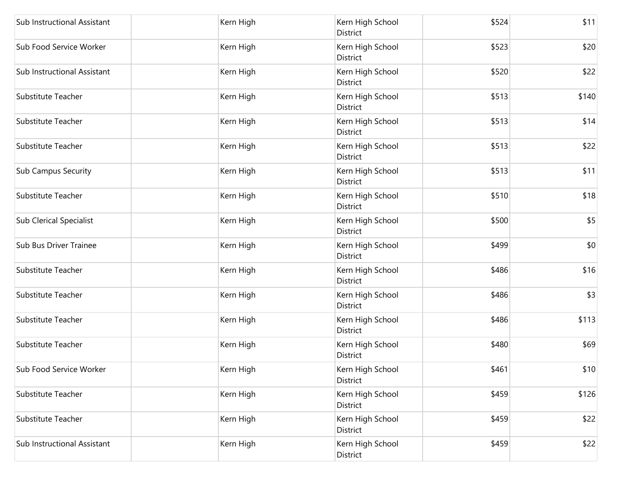| Sub Instructional Assistant    | Kern High | Kern High School<br>District        | \$524 | \$11  |
|--------------------------------|-----------|-------------------------------------|-------|-------|
| Sub Food Service Worker        | Kern High | Kern High School<br>District        | \$523 | \$20  |
| Sub Instructional Assistant    | Kern High | Kern High School<br>District        | \$520 | \$22  |
| Substitute Teacher             | Kern High | Kern High School<br>District        | \$513 | \$140 |
| <b>Substitute Teacher</b>      | Kern High | Kern High School<br>District        | \$513 | \$14  |
| Substitute Teacher             | Kern High | Kern High School<br>District        | \$513 | \$22  |
| <b>Sub Campus Security</b>     | Kern High | Kern High School<br>District        | \$513 | \$11  |
| Substitute Teacher             | Kern High | Kern High School<br>District        | \$510 | \$18  |
| <b>Sub Clerical Specialist</b> | Kern High | Kern High School<br><b>District</b> | \$500 | \$5   |
| Sub Bus Driver Trainee         | Kern High | Kern High School<br>District        | \$499 | \$0   |
| Substitute Teacher             | Kern High | Kern High School<br>District        | \$486 | \$16  |
| Substitute Teacher             | Kern High | Kern High School<br>District        | \$486 | \$3   |
| Substitute Teacher             | Kern High | Kern High School<br>District        | \$486 | \$113 |
| Substitute Teacher             | Kern High | Kern High School<br>District        | \$480 | \$69  |
| Sub Food Service Worker        | Kern High | Kern High School<br>District        | \$461 | \$10  |
| Substitute Teacher             | Kern High | Kern High School<br>District        | \$459 | \$126 |
| Substitute Teacher             | Kern High | Kern High School<br>District        | \$459 | \$22  |
| Sub Instructional Assistant    | Kern High | Kern High School<br>District        | \$459 | \$22  |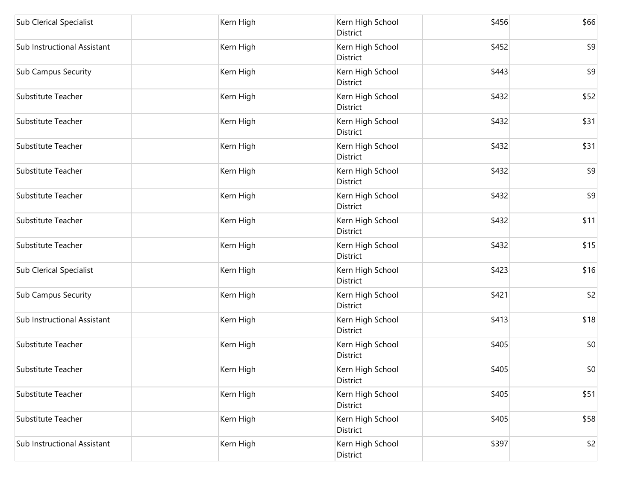| <b>Sub Clerical Specialist</b> | Kern High | Kern High School<br>District | \$456 | \$66 |
|--------------------------------|-----------|------------------------------|-------|------|
| Sub Instructional Assistant    | Kern High | Kern High School<br>District | \$452 | \$9  |
| <b>Sub Campus Security</b>     | Kern High | Kern High School<br>District | \$443 | \$9  |
| Substitute Teacher             | Kern High | Kern High School<br>District | \$432 | \$52 |
| Substitute Teacher             | Kern High | Kern High School<br>District | \$432 | \$31 |
| Substitute Teacher             | Kern High | Kern High School<br>District | \$432 | \$31 |
| Substitute Teacher             | Kern High | Kern High School<br>District | \$432 | \$9  |
| Substitute Teacher             | Kern High | Kern High School<br>District | \$432 | \$9  |
| Substitute Teacher             | Kern High | Kern High School<br>District | \$432 | \$11 |
| Substitute Teacher             | Kern High | Kern High School<br>District | \$432 | \$15 |
| <b>Sub Clerical Specialist</b> | Kern High | Kern High School<br>District | \$423 | \$16 |
| <b>Sub Campus Security</b>     | Kern High | Kern High School<br>District | \$421 | \$2  |
| Sub Instructional Assistant    | Kern High | Kern High School<br>District | \$413 | \$18 |
| Substitute Teacher             | Kern High | Kern High School<br>District | \$405 | \$0  |
| Substitute Teacher             | Kern High | Kern High School<br>District | \$405 | \$0  |
| Substitute Teacher             | Kern High | Kern High School<br>District | \$405 | \$51 |
| Substitute Teacher             | Kern High | Kern High School<br>District | \$405 | \$58 |
| Sub Instructional Assistant    | Kern High | Kern High School<br>District | \$397 | \$2  |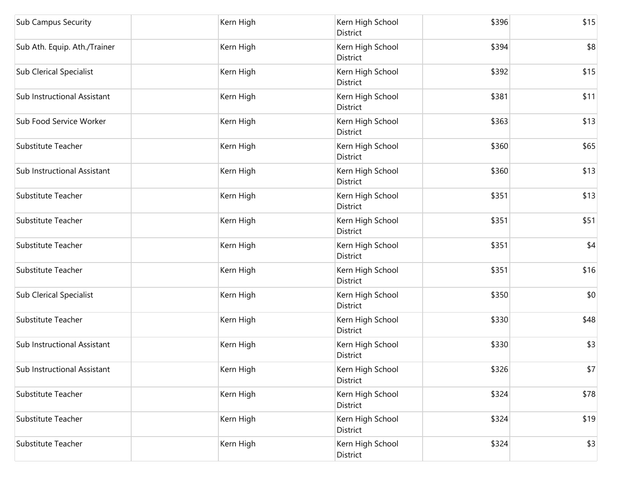| <b>Sub Campus Security</b>     | Kern High | Kern High School<br>District | \$396 | \$15 |
|--------------------------------|-----------|------------------------------|-------|------|
| Sub Ath. Equip. Ath./Trainer   | Kern High | Kern High School<br>District | \$394 | \$8  |
| <b>Sub Clerical Specialist</b> | Kern High | Kern High School<br>District | \$392 | \$15 |
| Sub Instructional Assistant    | Kern High | Kern High School<br>District | \$381 | \$11 |
| Sub Food Service Worker        | Kern High | Kern High School<br>District | \$363 | \$13 |
| Substitute Teacher             | Kern High | Kern High School<br>District | \$360 | \$65 |
| Sub Instructional Assistant    | Kern High | Kern High School<br>District | \$360 | \$13 |
| Substitute Teacher             | Kern High | Kern High School<br>District | \$351 | \$13 |
| Substitute Teacher             | Kern High | Kern High School<br>District | \$351 | \$51 |
| Substitute Teacher             | Kern High | Kern High School<br>District | \$351 | \$4  |
| Substitute Teacher             | Kern High | Kern High School<br>District | \$351 | \$16 |
| Sub Clerical Specialist        | Kern High | Kern High School<br>District | \$350 | \$0  |
| Substitute Teacher             | Kern High | Kern High School<br>District | \$330 | \$48 |
| Sub Instructional Assistant    | Kern High | Kern High School<br>District | \$330 | \$3  |
| Sub Instructional Assistant    | Kern High | Kern High School<br>District | \$326 | \$7  |
| Substitute Teacher             | Kern High | Kern High School<br>District | \$324 | \$78 |
| Substitute Teacher             | Kern High | Kern High School<br>District | \$324 | \$19 |
| Substitute Teacher             | Kern High | Kern High School<br>District | \$324 | \$3  |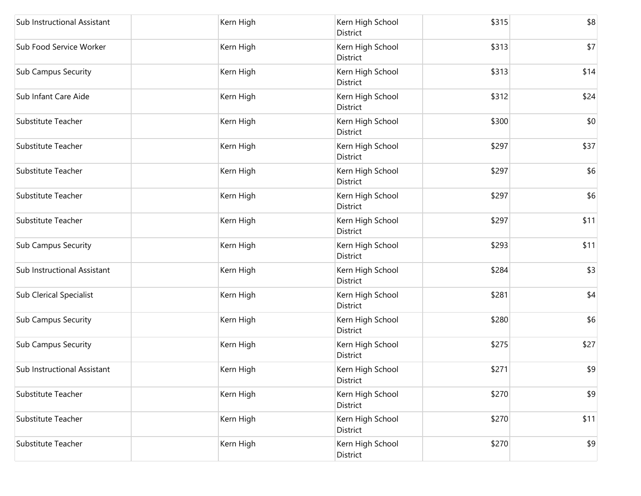| Sub Instructional Assistant    | Kern High | Kern High School<br>District | \$315 | \$8  |
|--------------------------------|-----------|------------------------------|-------|------|
| Sub Food Service Worker        | Kern High | Kern High School<br>District | \$313 | \$7  |
| <b>Sub Campus Security</b>     | Kern High | Kern High School<br>District | \$313 | \$14 |
| Sub Infant Care Aide           | Kern High | Kern High School<br>District | \$312 | \$24 |
| Substitute Teacher             | Kern High | Kern High School<br>District | \$300 | \$0  |
| Substitute Teacher             | Kern High | Kern High School<br>District | \$297 | \$37 |
| Substitute Teacher             | Kern High | Kern High School<br>District | \$297 | \$6  |
| Substitute Teacher             | Kern High | Kern High School<br>District | \$297 | \$6  |
| Substitute Teacher             | Kern High | Kern High School<br>District | \$297 | \$11 |
| <b>Sub Campus Security</b>     | Kern High | Kern High School<br>District | \$293 | \$11 |
| Sub Instructional Assistant    | Kern High | Kern High School<br>District | \$284 | \$3  |
| <b>Sub Clerical Specialist</b> | Kern High | Kern High School<br>District | \$281 | \$4  |
| Sub Campus Security            | Kern High | Kern High School<br>District | \$280 | \$6  |
| Sub Campus Security            | Kern High | Kern High School<br>District | \$275 | \$27 |
| Sub Instructional Assistant    | Kern High | Kern High School<br>District | \$271 | \$9  |
| Substitute Teacher             | Kern High | Kern High School<br>District | \$270 | \$9  |
| Substitute Teacher             | Kern High | Kern High School<br>District | \$270 | \$11 |
| Substitute Teacher             | Kern High | Kern High School<br>District | \$270 | \$9  |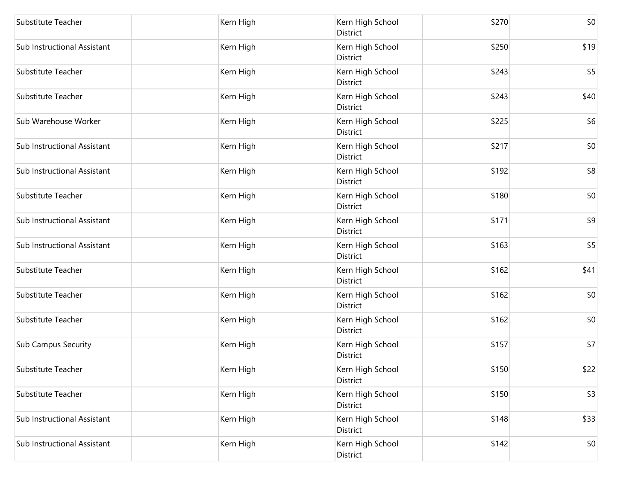| Substitute Teacher          | Kern High | Kern High School<br>District | \$270 | \$0  |
|-----------------------------|-----------|------------------------------|-------|------|
| Sub Instructional Assistant | Kern High | Kern High School<br>District | \$250 | \$19 |
| Substitute Teacher          | Kern High | Kern High School<br>District | \$243 | \$5  |
| Substitute Teacher          | Kern High | Kern High School<br>District | \$243 | \$40 |
| Sub Warehouse Worker        | Kern High | Kern High School<br>District | \$225 | \$6  |
| Sub Instructional Assistant | Kern High | Kern High School<br>District | \$217 | \$0  |
| Sub Instructional Assistant | Kern High | Kern High School<br>District | \$192 | \$8  |
| Substitute Teacher          | Kern High | Kern High School<br>District | \$180 | \$0  |
| Sub Instructional Assistant | Kern High | Kern High School<br>District | \$171 | \$9  |
| Sub Instructional Assistant | Kern High | Kern High School<br>District | \$163 | \$5  |
| Substitute Teacher          | Kern High | Kern High School<br>District | \$162 | \$41 |
| Substitute Teacher          | Kern High | Kern High School<br>District | \$162 | \$0  |
| Substitute Teacher          | Kern High | Kern High School<br>District | \$162 | \$0  |
| <b>Sub Campus Security</b>  | Kern High | Kern High School<br>District | \$157 | \$7  |
| Substitute Teacher          | Kern High | Kern High School<br>District | \$150 | \$22 |
| Substitute Teacher          | Kern High | Kern High School<br>District | \$150 | \$3  |
| Sub Instructional Assistant | Kern High | Kern High School<br>District | \$148 | \$33 |
| Sub Instructional Assistant | Kern High | Kern High School<br>District | \$142 | \$0  |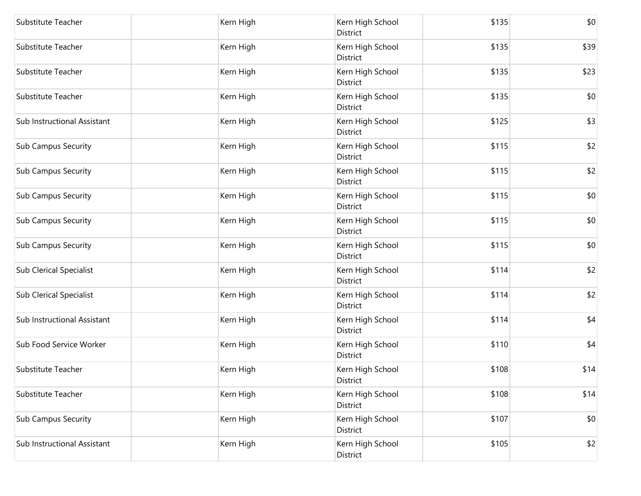| Substitute Teacher             | Kern High | Kern High School<br>District | \$135 | \$0  |
|--------------------------------|-----------|------------------------------|-------|------|
| Substitute Teacher             | Kern High | Kern High School<br>District | \$135 | \$39 |
| Substitute Teacher             | Kern High | Kern High School<br>District | \$135 | \$23 |
| Substitute Teacher             | Kern High | Kern High School<br>District | \$135 | \$0  |
| Sub Instructional Assistant    | Kern High | Kern High School<br>District | \$125 | \$3  |
| <b>Sub Campus Security</b>     | Kern High | Kern High School<br>District | \$115 | \$2  |
| <b>Sub Campus Security</b>     | Kern High | Kern High School<br>District | \$115 | \$2  |
| <b>Sub Campus Security</b>     | Kern High | Kern High School<br>District | \$115 | \$0  |
| <b>Sub Campus Security</b>     | Kern High | Kern High School<br>District | \$115 | \$0  |
| <b>Sub Campus Security</b>     | Kern High | Kern High School<br>District | \$115 | \$0  |
| <b>Sub Clerical Specialist</b> | Kern High | Kern High School<br>District | \$114 | \$2  |
| <b>Sub Clerical Specialist</b> | Kern High | Kern High School<br>District | \$114 | \$2  |
| Sub Instructional Assistant    | Kern High | Kern High School<br>District | \$114 | \$4  |
| Sub Food Service Worker        | Kern High | Kern High School<br>District | \$110 | \$4  |
| Substitute Teacher             | Kern High | Kern High School<br>District | \$108 | \$14 |
| Substitute Teacher             | Kern High | Kern High School<br>District | \$108 | \$14 |
| Sub Campus Security            | Kern High | Kern High School<br>District | \$107 | \$0  |
| Sub Instructional Assistant    | Kern High | Kern High School<br>District | \$105 | \$2  |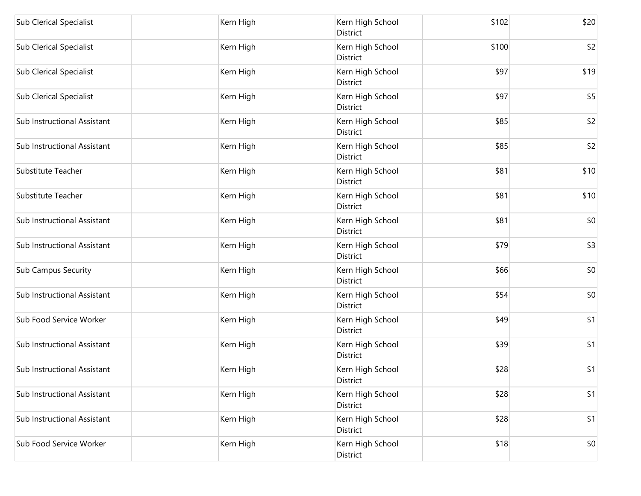| <b>Sub Clerical Specialist</b> | Kern High | Kern High School<br>District | \$102 | \$20 |
|--------------------------------|-----------|------------------------------|-------|------|
| <b>Sub Clerical Specialist</b> | Kern High | Kern High School<br>District | \$100 | \$2  |
| <b>Sub Clerical Specialist</b> | Kern High | Kern High School<br>District | \$97  | \$19 |
| <b>Sub Clerical Specialist</b> | Kern High | Kern High School<br>District | \$97  | \$5  |
| Sub Instructional Assistant    | Kern High | Kern High School<br>District | \$85  | \$2  |
| Sub Instructional Assistant    | Kern High | Kern High School<br>District | \$85  | \$2  |
| Substitute Teacher             | Kern High | Kern High School<br>District | \$81  | \$10 |
| Substitute Teacher             | Kern High | Kern High School<br>District | \$81  | \$10 |
| Sub Instructional Assistant    | Kern High | Kern High School<br>District | \$81  | \$0  |
| Sub Instructional Assistant    | Kern High | Kern High School<br>District | \$79  | \$3  |
| <b>Sub Campus Security</b>     | Kern High | Kern High School<br>District | \$66  | \$0  |
| Sub Instructional Assistant    | Kern High | Kern High School<br>District | \$54  | \$0  |
| Sub Food Service Worker        | Kern High | Kern High School<br>District | \$49  | \$1  |
| Sub Instructional Assistant    | Kern High | Kern High School<br>District | \$39  | \$1  |
| Sub Instructional Assistant    | Kern High | Kern High School<br>District | \$28  | \$1  |
| Sub Instructional Assistant    | Kern High | Kern High School<br>District | \$28  | \$1  |
| Sub Instructional Assistant    | Kern High | Kern High School<br>District | \$28  | \$1  |
| Sub Food Service Worker        | Kern High | Kern High School<br>District | \$18  | \$0  |